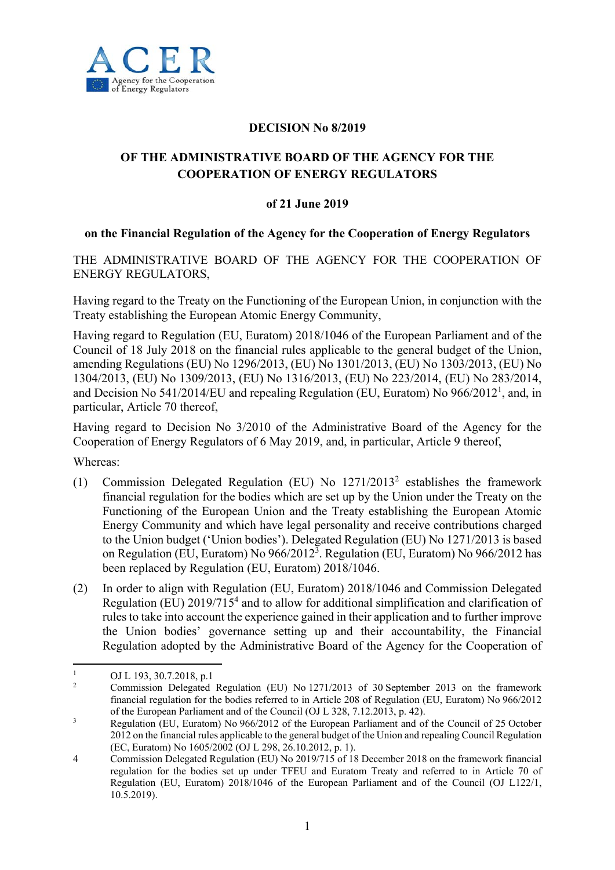

## **DECISION No 8/2019**

## **OF THE ADMINISTRATIVE BOARD OF THE AGENCY FOR THE COOPERATION OF ENERGY REGULATORS**

## **of 21 June 2019**

## **on the Financial Regulation of the Agency for the Cooperation of Energy Regulators**

THE ADMINISTRATIVE BOARD OF THE AGENCY FOR THE COOPERATION OF ENERGY REGULATORS,

Having regard to the Treaty on the Functioning of the European Union, in conjunction with the Treaty establishing the European Atomic Energy Community,

Having regard to Regulation (EU, Euratom) 2018/1046 of the European Parliament and of the Council of 18 July 2018 on the financial rules applicable to the general budget of the Union, amending Regulations (EU) No 1296/2013, (EU) No 1301/2013, (EU) No 1303/2013, (EU) No 1304/2013, (EU) No 1309/2013, (EU) No 1316/2013, (EU) No 223/2014, (EU) No 283/2014, and Decision No 541/2014/EU and repealing Regulation (EU, Euratom) No 966/2012<sup>1</sup>, and, in particular, Article 70 thereof,

Having regard to Decision No 3/2010 of the Administrative Board of the Agency for the Cooperation of Energy Regulators of 6 May 2019, and, in particular, Article 9 thereof,

Whereas:

- (1) Commission Delegated Regulation (EU) No 1271/2013<sup>2</sup> establishes the framework financial regulation for the bodies which are set up by the Union under the Treaty on the Functioning of the European Union and the Treaty establishing the European Atomic Energy Community and which have legal personality and receive contributions charged to the Union budget ('Union bodies'). Delegated Regulation (EU) No 1271/2013 is based on Regulation (EU, Euratom) No 966/20123 . Regulation (EU, Euratom) No 966/2012 has been replaced by Regulation (EU, Euratom) 2018/1046.
- (2) In order to align with Regulation (EU, Euratom) 2018/1046 and Commission Delegated Regulation (EU) 2019/715<sup>4</sup> and to allow for additional simplification and clarification of rules to take into account the experience gained in their application and to further improve the Union bodies' governance setting up and their accountability, the Financial Regulation adopted by the Administrative Board of the Agency for the Cooperation of

 $\frac{1}{1}$ OJ L 193, 30.7.2018, p.1

<sup>2</sup> Commission Delegated Regulation (EU) No 1271/2013 of 30 September 2013 on the framework financial regulation for the bodies referred to in Article 208 of Regulation (EU, Euratom) No 966/2012 of the European Parliament and of the Council (OJ L 328, 7.12.2013, p. 42).

<sup>3</sup> Regulation (EU, Euratom) No 966/2012 of the European Parliament and of the Council of 25 October 2012 on the financial rules applicable to the general budget of the Union and repealing Council Regulation (EC, Euratom) No 1605/2002 (OJ L 298, 26.10.2012, p. 1).

<sup>4</sup> Commission Delegated Regulation (EU) No 2019/715 of 18 December 2018 on the framework financial regulation for the bodies set up under TFEU and Euratom Treaty and referred to in Article 70 of Regulation (EU, Euratom) 2018/1046 of the European Parliament and of the Council (OJ L122/1, 10.5.2019).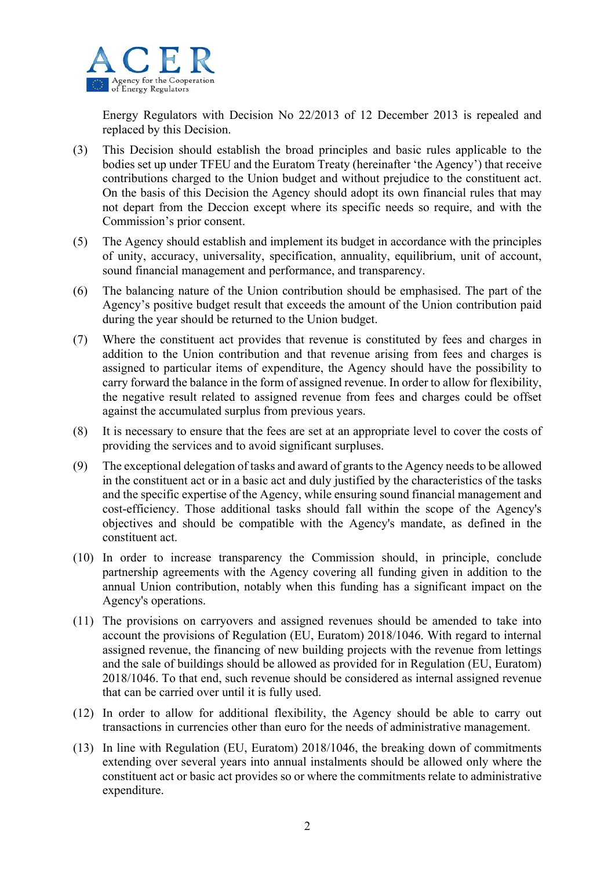

Energy Regulators with Decision No 22/2013 of 12 December 2013 is repealed and replaced by this Decision.

- (3) This Decision should establish the broad principles and basic rules applicable to the bodies set up under TFEU and the Euratom Treaty (hereinafter 'the Agency') that receive contributions charged to the Union budget and without prejudice to the constituent act. On the basis of this Decision the Agency should adopt its own financial rules that may not depart from the Deccion except where its specific needs so require, and with the Commission's prior consent.
- (5) The Agency should establish and implement its budget in accordance with the principles of unity, accuracy, universality, specification, annuality, equilibrium, unit of account, sound financial management and performance, and transparency.
- (6) The balancing nature of the Union contribution should be emphasised. The part of the Agency's positive budget result that exceeds the amount of the Union contribution paid during the year should be returned to the Union budget.
- (7) Where the constituent act provides that revenue is constituted by fees and charges in addition to the Union contribution and that revenue arising from fees and charges is assigned to particular items of expenditure, the Agency should have the possibility to carry forward the balance in the form of assigned revenue. In order to allow for flexibility, the negative result related to assigned revenue from fees and charges could be offset against the accumulated surplus from previous years.
- (8) It is necessary to ensure that the fees are set at an appropriate level to cover the costs of providing the services and to avoid significant surpluses.
- (9) The exceptional delegation of tasks and award of grants to the Agency needs to be allowed in the constituent act or in a basic act and duly justified by the characteristics of the tasks and the specific expertise of the Agency, while ensuring sound financial management and cost-efficiency. Those additional tasks should fall within the scope of the Agency's objectives and should be compatible with the Agency's mandate, as defined in the constituent act.
- (10) In order to increase transparency the Commission should, in principle, conclude partnership agreements with the Agency covering all funding given in addition to the annual Union contribution, notably when this funding has a significant impact on the Agency's operations.
- (11) The provisions on carryovers and assigned revenues should be amended to take into account the provisions of Regulation (EU, Euratom) 2018/1046. With regard to internal assigned revenue, the financing of new building projects with the revenue from lettings and the sale of buildings should be allowed as provided for in Regulation (EU, Euratom) 2018/1046. To that end, such revenue should be considered as internal assigned revenue that can be carried over until it is fully used.
- (12) In order to allow for additional flexibility, the Agency should be able to carry out transactions in currencies other than euro for the needs of administrative management.
- (13) In line with Regulation (EU, Euratom) 2018/1046, the breaking down of commitments extending over several years into annual instalments should be allowed only where the constituent act or basic act provides so or where the commitments relate to administrative expenditure.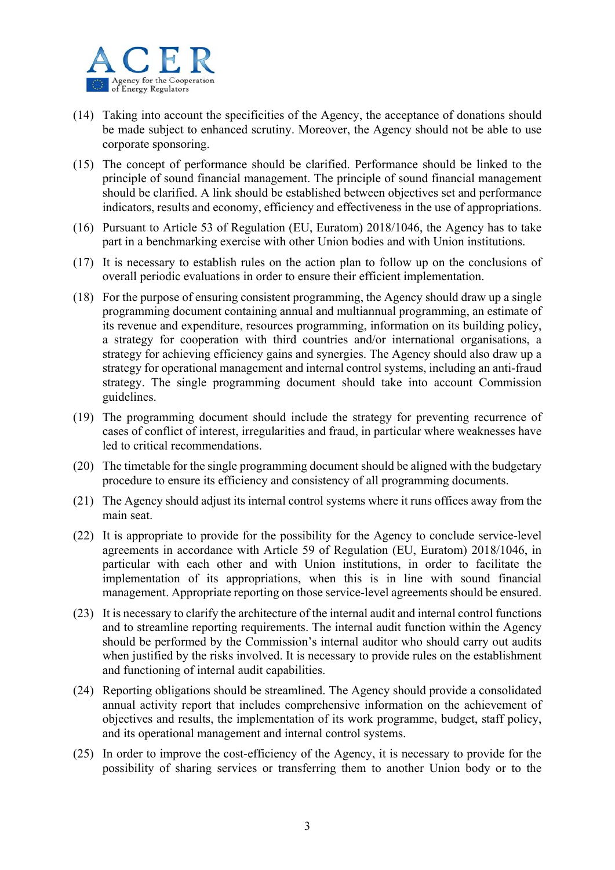

- (14) Taking into account the specificities of the Agency, the acceptance of donations should be made subject to enhanced scrutiny. Moreover, the Agency should not be able to use corporate sponsoring.
- (15) The concept of performance should be clarified. Performance should be linked to the principle of sound financial management. The principle of sound financial management should be clarified. A link should be established between objectives set and performance indicators, results and economy, efficiency and effectiveness in the use of appropriations.
- (16) Pursuant to Article 53 of Regulation (EU, Euratom) 2018/1046, the Agency has to take part in a benchmarking exercise with other Union bodies and with Union institutions.
- (17) It is necessary to establish rules on the action plan to follow up on the conclusions of overall periodic evaluations in order to ensure their efficient implementation.
- (18) For the purpose of ensuring consistent programming, the Agency should draw up a single programming document containing annual and multiannual programming, an estimate of its revenue and expenditure, resources programming, information on its building policy, a strategy for cooperation with third countries and/or international organisations, a strategy for achieving efficiency gains and synergies. The Agency should also draw up a strategy for operational management and internal control systems, including an anti-fraud strategy. The single programming document should take into account Commission guidelines.
- (19) The programming document should include the strategy for preventing recurrence of cases of conflict of interest, irregularities and fraud, in particular where weaknesses have led to critical recommendations.
- (20) The timetable for the single programming document should be aligned with the budgetary procedure to ensure its efficiency and consistency of all programming documents.
- (21) The Agency should adjust its internal control systems where it runs offices away from the main seat.
- (22) It is appropriate to provide for the possibility for the Agency to conclude service-level agreements in accordance with Article 59 of Regulation (EU, Euratom) 2018/1046, in particular with each other and with Union institutions, in order to facilitate the implementation of its appropriations, when this is in line with sound financial management. Appropriate reporting on those service-level agreements should be ensured.
- (23) It is necessary to clarify the architecture of the internal audit and internal control functions and to streamline reporting requirements. The internal audit function within the Agency should be performed by the Commission's internal auditor who should carry out audits when justified by the risks involved. It is necessary to provide rules on the establishment and functioning of internal audit capabilities.
- (24) Reporting obligations should be streamlined. The Agency should provide a consolidated annual activity report that includes comprehensive information on the achievement of objectives and results, the implementation of its work programme, budget, staff policy, and its operational management and internal control systems.
- (25) In order to improve the cost-efficiency of the Agency, it is necessary to provide for the possibility of sharing services or transferring them to another Union body or to the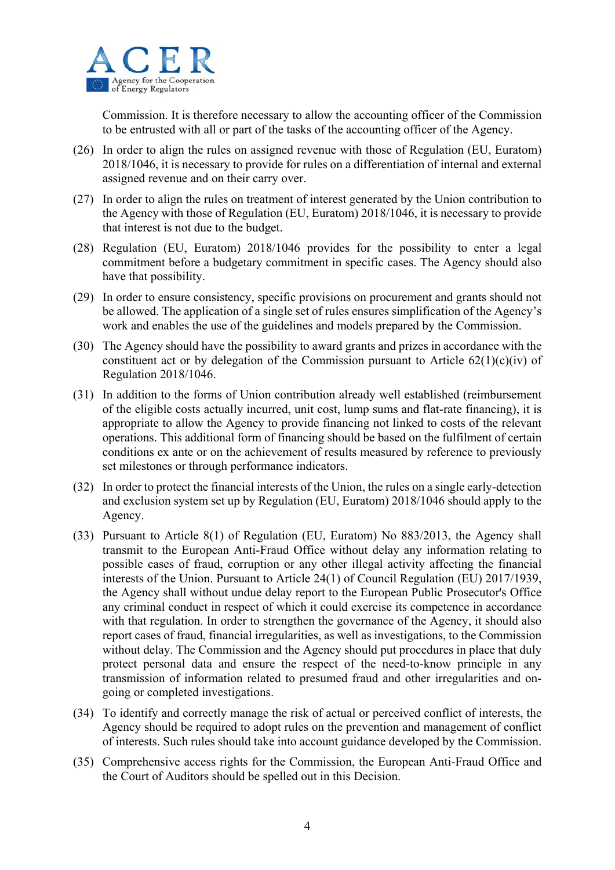

Commission. It is therefore necessary to allow the accounting officer of the Commission to be entrusted with all or part of the tasks of the accounting officer of the Agency.

- (26) In order to align the rules on assigned revenue with those of Regulation (EU, Euratom) 2018/1046, it is necessary to provide for rules on a differentiation of internal and external assigned revenue and on their carry over.
- (27) In order to align the rules on treatment of interest generated by the Union contribution to the Agency with those of Regulation (EU, Euratom) 2018/1046, it is necessary to provide that interest is not due to the budget.
- (28) Regulation (EU, Euratom) 2018/1046 provides for the possibility to enter a legal commitment before a budgetary commitment in specific cases. The Agency should also have that possibility.
- (29) In order to ensure consistency, specific provisions on procurement and grants should not be allowed. The application of a single set of rules ensures simplification of the Agency's work and enables the use of the guidelines and models prepared by the Commission.
- (30) The Agency should have the possibility to award grants and prizes in accordance with the constituent act or by delegation of the Commission pursuant to Article  $62(1)(c)(iv)$  of Regulation 2018/1046.
- (31) In addition to the forms of Union contribution already well established (reimbursement of the eligible costs actually incurred, unit cost, lump sums and flat-rate financing), it is appropriate to allow the Agency to provide financing not linked to costs of the relevant operations. This additional form of financing should be based on the fulfilment of certain conditions ex ante or on the achievement of results measured by reference to previously set milestones or through performance indicators.
- (32) In order to protect the financial interests of the Union, the rules on a single early-detection and exclusion system set up by Regulation (EU, Euratom) 2018/1046 should apply to the Agency.
- (33) Pursuant to Article 8(1) of Regulation (EU, Euratom) No 883/2013, the Agency shall transmit to the European Anti-Fraud Office without delay any information relating to possible cases of fraud, corruption or any other illegal activity affecting the financial interests of the Union. Pursuant to Article 24(1) of Council Regulation (EU) 2017/1939, the Agency shall without undue delay report to the European Public Prosecutor's Office any criminal conduct in respect of which it could exercise its competence in accordance with that regulation. In order to strengthen the governance of the Agency, it should also report cases of fraud, financial irregularities, as well as investigations, to the Commission without delay. The Commission and the Agency should put procedures in place that duly protect personal data and ensure the respect of the need-to-know principle in any transmission of information related to presumed fraud and other irregularities and ongoing or completed investigations.
- (34) To identify and correctly manage the risk of actual or perceived conflict of interests, the Agency should be required to adopt rules on the prevention and management of conflict of interests. Such rules should take into account guidance developed by the Commission.
- (35) Comprehensive access rights for the Commission, the European Anti-Fraud Office and the Court of Auditors should be spelled out in this Decision.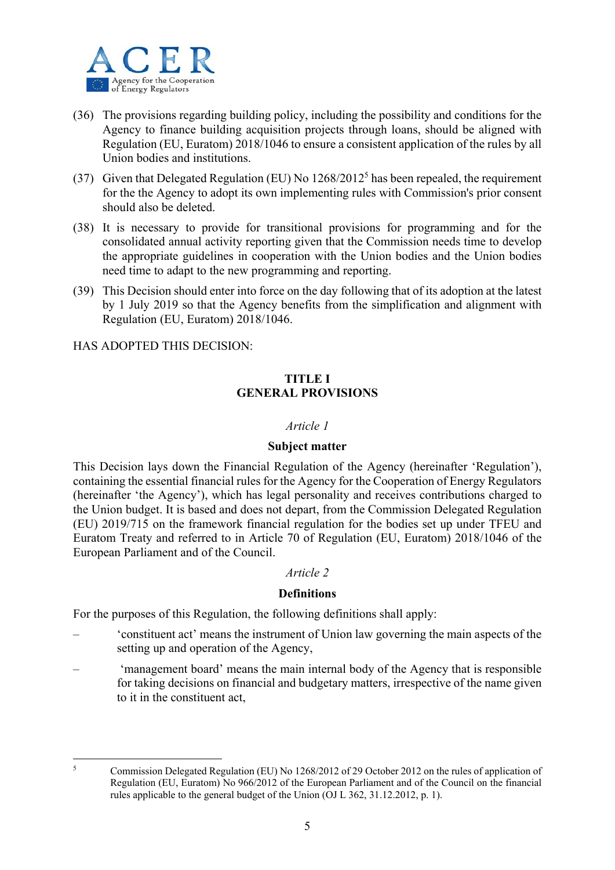

- (36) The provisions regarding building policy, including the possibility and conditions for the Agency to finance building acquisition projects through loans, should be aligned with Regulation (EU, Euratom) 2018/1046 to ensure a consistent application of the rules by all Union bodies and institutions.
- (37) Given that Delegated Regulation (EU) No  $1268/2012^5$  has been repealed, the requirement for the the Agency to adopt its own implementing rules with Commission's prior consent should also be deleted.
- (38) It is necessary to provide for transitional provisions for programming and for the consolidated annual activity reporting given that the Commission needs time to develop the appropriate guidelines in cooperation with the Union bodies and the Union bodies need time to adapt to the new programming and reporting.
- (39) This Decision should enter into force on the day following that of its adoption at the latest by 1 July 2019 so that the Agency benefits from the simplification and alignment with Regulation (EU, Euratom) 2018/1046.

HAS ADOPTED THIS DECISION:

## **TITLE I GENERAL PROVISIONS**

## *Article 1*

#### **Subject matter**

This Decision lays down the Financial Regulation of the Agency (hereinafter 'Regulation'), containing the essential financial rules for the Agency for the Cooperation of Energy Regulators (hereinafter 'the Agency'), which has legal personality and receives contributions charged to the Union budget. It is based and does not depart, from the Commission Delegated Regulation (EU) 2019/715 on the framework financial regulation for the bodies set up under TFEU and Euratom Treaty and referred to in Article 70 of Regulation (EU, Euratom) 2018/1046 of the European Parliament and of the Council.

## *Article 2*

## **Definitions**

For the purposes of this Regulation, the following definitions shall apply:

- 'constituent act' means the instrument of Union law governing the main aspects of the setting up and operation of the Agency,
- 'management board' means the main internal body of the Agency that is responsible for taking decisions on financial and budgetary matters, irrespective of the name given to it in the constituent act,

 $\frac{1}{5}$ 

Commission Delegated Regulation (EU) No 1268/2012 of 29 October 2012 on the rules of application of Regulation (EU, Euratom) No 966/2012 of the European Parliament and of the Council on the financial rules applicable to the general budget of the Union (OJ L 362, 31.12.2012, p. 1).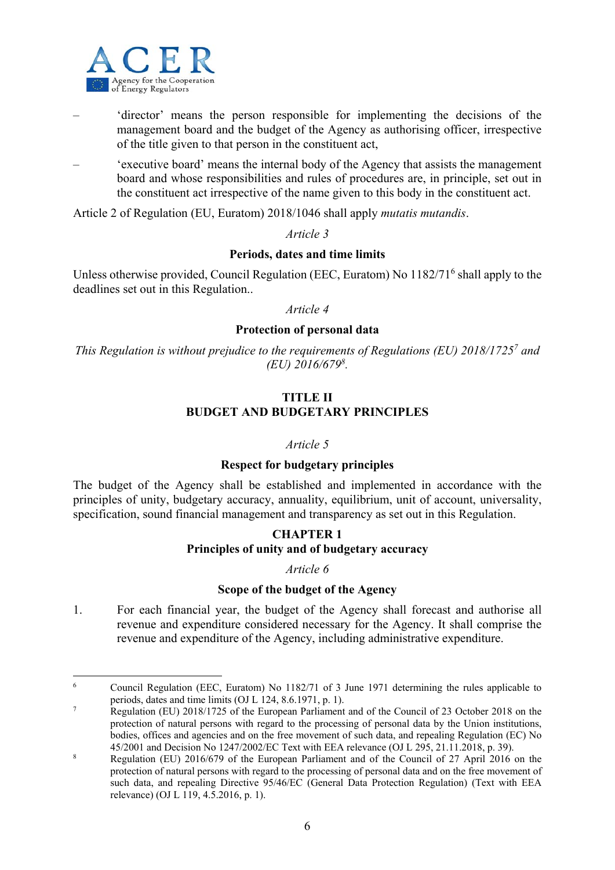

1

- 'director' means the person responsible for implementing the decisions of the management board and the budget of the Agency as authorising officer, irrespective of the title given to that person in the constituent act,
- 'executive board' means the internal body of the Agency that assists the management board and whose responsibilities and rules of procedures are, in principle, set out in the constituent act irrespective of the name given to this body in the constituent act.

Article 2 of Regulation (EU, Euratom) 2018/1046 shall apply *mutatis mutandis*.

*Article 3* 

#### **Periods, dates and time limits**

Unless otherwise provided, Council Regulation (EEC, Euratom) No 1182/71<sup>6</sup> shall apply to the deadlines set out in this Regulation..

*Article 4* 

#### **Protection of personal data**

*This Regulation is without prejudice to the requirements of Regulations (EU) 2018/17257 and (EU) 2016/6798 .* 

## **TITLE II BUDGET AND BUDGETARY PRINCIPLES**

#### *Article 5*

#### **Respect for budgetary principles**

The budget of the Agency shall be established and implemented in accordance with the principles of unity, budgetary accuracy, annuality, equilibrium, unit of account, universality, specification, sound financial management and transparency as set out in this Regulation.

## **CHAPTER 1 Principles of unity and of budgetary accuracy**

## *Article 6*

## **Scope of the budget of the Agency**

1. For each financial year, the budget of the Agency shall forecast and authorise all revenue and expenditure considered necessary for the Agency. It shall comprise the revenue and expenditure of the Agency, including administrative expenditure.

<sup>6</sup> Council Regulation (EEC, Euratom) No 1182/71 of 3 June 1971 determining the rules applicable to periods, dates and time limits (OJ L 124, 8.6.1971, p. 1).

Regulation (EU) 2018/1725 of the European Parliament and of the Council of 23 October 2018 on the protection of natural persons with regard to the processing of personal data by the Union institutions, bodies, offices and agencies and on the free movement of such data, and repealing Regulation (EC) No 45/2001 and Decision No 1247/2002/EC Text with EEA relevance (OJ L 295, 21.11.2018, p. 39).

<sup>8</sup> Regulation (EU) 2016/679 of the European Parliament and of the Council of 27 April 2016 on the protection of natural persons with regard to the processing of personal data and on the free movement of such data, and repealing Directive 95/46/EC (General Data Protection Regulation) (Text with EEA relevance) (OJ L 119, 4.5.2016, p. 1).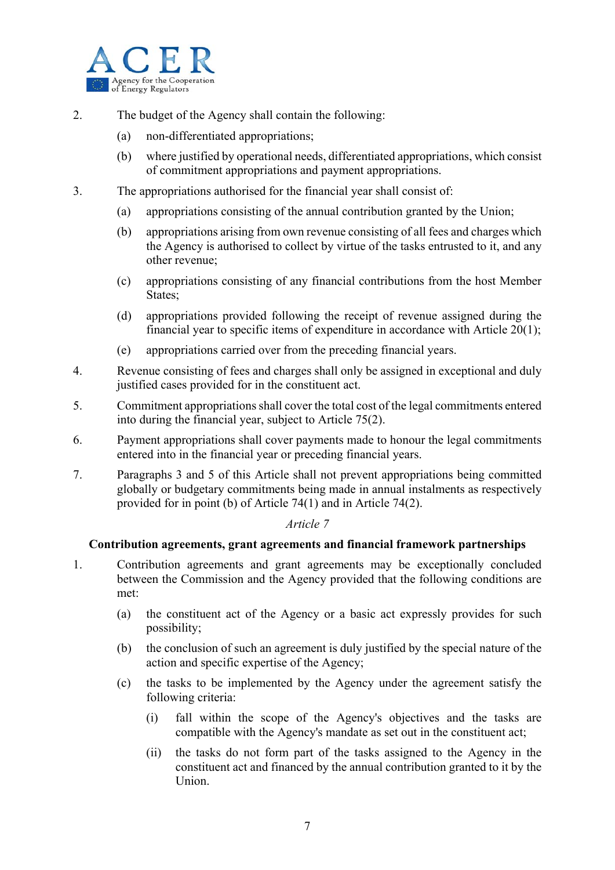

- 2. The budget of the Agency shall contain the following:
	- (a) non-differentiated appropriations;
	- (b) where justified by operational needs, differentiated appropriations, which consist of commitment appropriations and payment appropriations.
- 3. The appropriations authorised for the financial year shall consist of:
	- (a) appropriations consisting of the annual contribution granted by the Union;
	- (b) appropriations arising from own revenue consisting of all fees and charges which the Agency is authorised to collect by virtue of the tasks entrusted to it, and any other revenue;
	- (c) appropriations consisting of any financial contributions from the host Member States;
	- (d) appropriations provided following the receipt of revenue assigned during the financial year to specific items of expenditure in accordance with Article 20(1);
	- (e) appropriations carried over from the preceding financial years.
- 4. Revenue consisting of fees and charges shall only be assigned in exceptional and duly justified cases provided for in the constituent act.
- 5. Commitment appropriations shall cover the total cost of the legal commitments entered into during the financial year, subject to Article 75(2).
- 6. Payment appropriations shall cover payments made to honour the legal commitments entered into in the financial year or preceding financial years.
- 7. Paragraphs 3 and 5 of this Article shall not prevent appropriations being committed globally or budgetary commitments being made in annual instalments as respectively provided for in point (b) of Article 74(1) and in Article 74(2).

## **Contribution agreements, grant agreements and financial framework partnerships**

- 1. Contribution agreements and grant agreements may be exceptionally concluded between the Commission and the Agency provided that the following conditions are met:
	- (a) the constituent act of the Agency or a basic act expressly provides for such possibility;
	- (b) the conclusion of such an agreement is duly justified by the special nature of the action and specific expertise of the Agency;
	- (c) the tasks to be implemented by the Agency under the agreement satisfy the following criteria:
		- (i) fall within the scope of the Agency's objectives and the tasks are compatible with the Agency's mandate as set out in the constituent act;
		- (ii) the tasks do not form part of the tasks assigned to the Agency in the constituent act and financed by the annual contribution granted to it by the Union.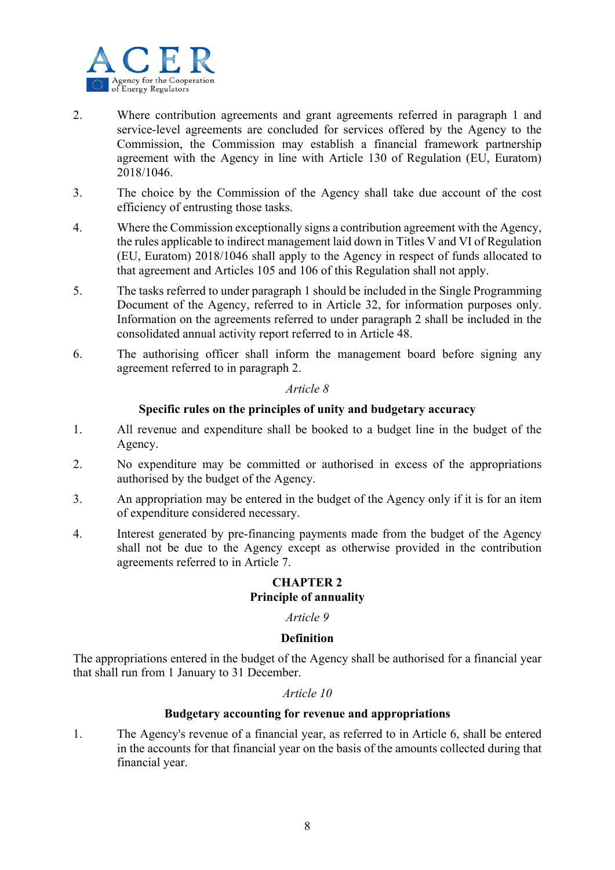

- 2. Where contribution agreements and grant agreements referred in paragraph 1 and service-level agreements are concluded for services offered by the Agency to the Commission, the Commission may establish a financial framework partnership agreement with the Agency in line with Article 130 of Regulation (EU, Euratom) 2018/1046.
- 3. The choice by the Commission of the Agency shall take due account of the cost efficiency of entrusting those tasks.
- 4. Where the Commission exceptionally signs a contribution agreement with the Agency, the rules applicable to indirect management laid down in Titles V and VI of Regulation (EU, Euratom) 2018/1046 shall apply to the Agency in respect of funds allocated to that agreement and Articles 105 and 106 of this Regulation shall not apply.
- 5. The tasks referred to under paragraph 1 should be included in the Single Programming Document of the Agency, referred to in Article 32, for information purposes only. Information on the agreements referred to under paragraph 2 shall be included in the consolidated annual activity report referred to in Article 48.
- 6. The authorising officer shall inform the management board before signing any agreement referred to in paragraph 2.

## **Specific rules on the principles of unity and budgetary accuracy**

- 1. All revenue and expenditure shall be booked to a budget line in the budget of the Agency.
- 2. No expenditure may be committed or authorised in excess of the appropriations authorised by the budget of the Agency.
- 3. An appropriation may be entered in the budget of the Agency only if it is for an item of expenditure considered necessary.
- 4. Interest generated by pre-financing payments made from the budget of the Agency shall not be due to the Agency except as otherwise provided in the contribution agreements referred to in Article 7.

## **CHAPTER 2 Principle of annuality**

## *Article 9*

## **Definition**

The appropriations entered in the budget of the Agency shall be authorised for a financial year that shall run from 1 January to 31 December.

## *Article 10*

## **Budgetary accounting for revenue and appropriations**

1. The Agency's revenue of a financial year, as referred to in Article 6, shall be entered in the accounts for that financial year on the basis of the amounts collected during that financial year.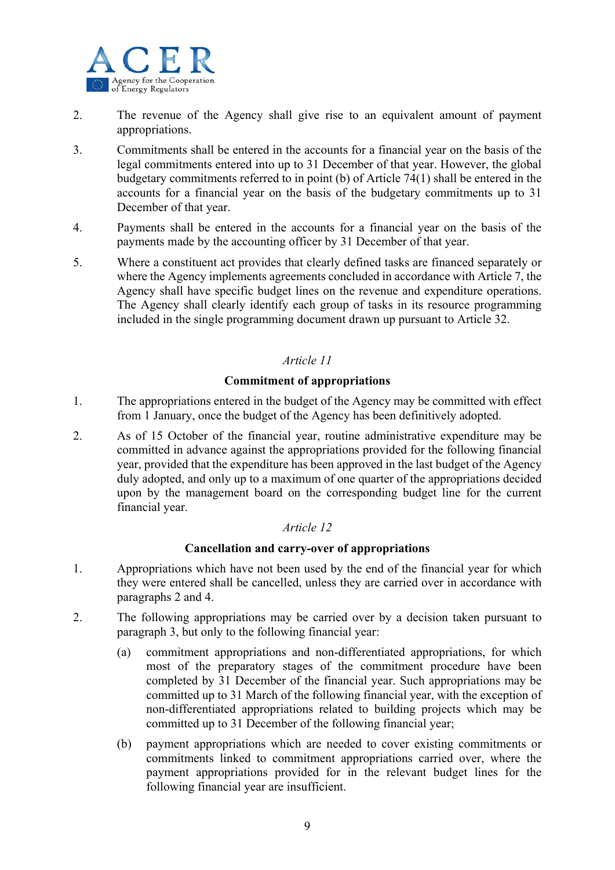

- 2. The revenue of the Agency shall give rise to an equivalent amount of payment appropriations.
- 3. Commitments shall be entered in the accounts for a financial year on the basis of the legal commitments entered into up to 31 December of that year. However, the global budgetary commitments referred to in point (b) of Article 74(1) shall be entered in the accounts for a financial year on the basis of the budgetary commitments up to 31 December of that year.
- 4. Payments shall be entered in the accounts for a financial year on the basis of the payments made by the accounting officer by 31 December of that year.
- 5. Where a constituent act provides that clearly defined tasks are financed separately or where the Agency implements agreements concluded in accordance with Article 7, the Agency shall have specific budget lines on the revenue and expenditure operations. The Agency shall clearly identify each group of tasks in its resource programming included in the single programming document drawn up pursuant to Article 32.

## **Commitment of appropriations**

- 1. The appropriations entered in the budget of the Agency may be committed with effect from 1 January, once the budget of the Agency has been definitively adopted.
- 2. As of 15 October of the financial year, routine administrative expenditure may be committed in advance against the appropriations provided for the following financial year, provided that the expenditure has been approved in the last budget of the Agency duly adopted, and only up to a maximum of one quarter of the appropriations decided upon by the management board on the corresponding budget line for the current financial year.

## *Article 12*

## **Cancellation and carry-over of appropriations**

- 1. Appropriations which have not been used by the end of the financial year for which they were entered shall be cancelled, unless they are carried over in accordance with paragraphs 2 and 4.
- 2. The following appropriations may be carried over by a decision taken pursuant to paragraph 3, but only to the following financial year:
	- (a) commitment appropriations and non-differentiated appropriations, for which most of the preparatory stages of the commitment procedure have been completed by 31 December of the financial year. Such appropriations may be committed up to 31 March of the following financial year, with the exception of non-differentiated appropriations related to building projects which may be committed up to 31 December of the following financial year;
	- (b) payment appropriations which are needed to cover existing commitments or commitments linked to commitment appropriations carried over, where the payment appropriations provided for in the relevant budget lines for the following financial year are insufficient.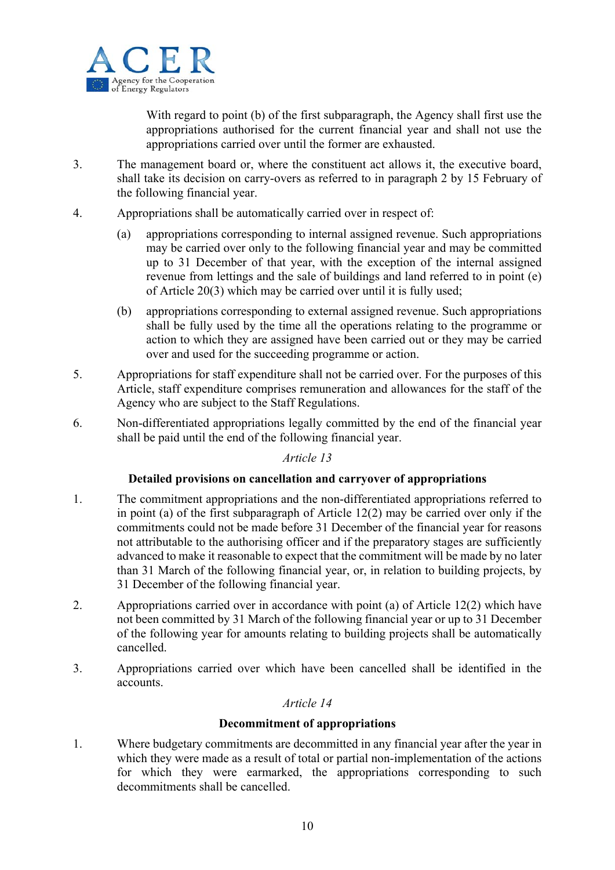

With regard to point (b) of the first subparagraph, the Agency shall first use the appropriations authorised for the current financial year and shall not use the appropriations carried over until the former are exhausted.

- 3. The management board or, where the constituent act allows it, the executive board, shall take its decision on carry-overs as referred to in paragraph 2 by 15 February of the following financial year.
- 4. Appropriations shall be automatically carried over in respect of:
	- (a) appropriations corresponding to internal assigned revenue. Such appropriations may be carried over only to the following financial year and may be committed up to 31 December of that year, with the exception of the internal assigned revenue from lettings and the sale of buildings and land referred to in point (e) of Article 20(3) which may be carried over until it is fully used;
	- (b) appropriations corresponding to external assigned revenue. Such appropriations shall be fully used by the time all the operations relating to the programme or action to which they are assigned have been carried out or they may be carried over and used for the succeeding programme or action.
- 5. Appropriations for staff expenditure shall not be carried over. For the purposes of this Article, staff expenditure comprises remuneration and allowances for the staff of the Agency who are subject to the Staff Regulations.
- 6. Non-differentiated appropriations legally committed by the end of the financial year shall be paid until the end of the following financial year.

## *Article 13*

## **Detailed provisions on cancellation and carryover of appropriations**

- 1. The commitment appropriations and the non-differentiated appropriations referred to in point (a) of the first subparagraph of Article 12(2) may be carried over only if the commitments could not be made before 31 December of the financial year for reasons not attributable to the authorising officer and if the preparatory stages are sufficiently advanced to make it reasonable to expect that the commitment will be made by no later than 31 March of the following financial year, or, in relation to building projects, by 31 December of the following financial year.
- 2. Appropriations carried over in accordance with point (a) of Article 12(2) which have not been committed by 31 March of the following financial year or up to 31 December of the following year for amounts relating to building projects shall be automatically cancelled.
- 3. Appropriations carried over which have been cancelled shall be identified in the accounts.

## *Article 14*

## **Decommitment of appropriations**

1. Where budgetary commitments are decommitted in any financial year after the year in which they were made as a result of total or partial non-implementation of the actions for which they were earmarked, the appropriations corresponding to such decommitments shall be cancelled.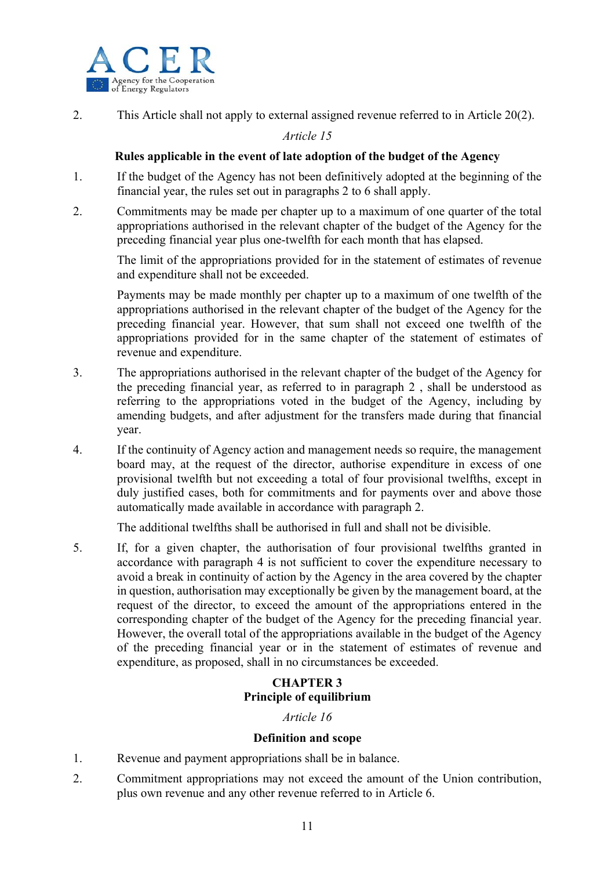

2. This Article shall not apply to external assigned revenue referred to in Article 20(2).

## *Article 15*

## **Rules applicable in the event of late adoption of the budget of the Agency**

- 1. If the budget of the Agency has not been definitively adopted at the beginning of the financial year, the rules set out in paragraphs 2 to 6 shall apply.
- 2. Commitments may be made per chapter up to a maximum of one quarter of the total appropriations authorised in the relevant chapter of the budget of the Agency for the preceding financial year plus one-twelfth for each month that has elapsed.

The limit of the appropriations provided for in the statement of estimates of revenue and expenditure shall not be exceeded.

Payments may be made monthly per chapter up to a maximum of one twelfth of the appropriations authorised in the relevant chapter of the budget of the Agency for the preceding financial year. However, that sum shall not exceed one twelfth of the appropriations provided for in the same chapter of the statement of estimates of revenue and expenditure.

- 3. The appropriations authorised in the relevant chapter of the budget of the Agency for the preceding financial year, as referred to in paragraph 2 , shall be understood as referring to the appropriations voted in the budget of the Agency, including by amending budgets, and after adjustment for the transfers made during that financial year.
- 4. If the continuity of Agency action and management needs so require, the management board may, at the request of the director, authorise expenditure in excess of one provisional twelfth but not exceeding a total of four provisional twelfths, except in duly justified cases, both for commitments and for payments over and above those automatically made available in accordance with paragraph 2.

The additional twelfths shall be authorised in full and shall not be divisible.

5. If, for a given chapter, the authorisation of four provisional twelfths granted in accordance with paragraph 4 is not sufficient to cover the expenditure necessary to avoid a break in continuity of action by the Agency in the area covered by the chapter in question, authorisation may exceptionally be given by the management board, at the request of the director, to exceed the amount of the appropriations entered in the corresponding chapter of the budget of the Agency for the preceding financial year. However, the overall total of the appropriations available in the budget of the Agency of the preceding financial year or in the statement of estimates of revenue and expenditure, as proposed, shall in no circumstances be exceeded.

## **CHAPTER 3 Principle of equilibrium**

## *Article 16*

## **Definition and scope**

- 1. Revenue and payment appropriations shall be in balance.
- 2. Commitment appropriations may not exceed the amount of the Union contribution, plus own revenue and any other revenue referred to in Article 6.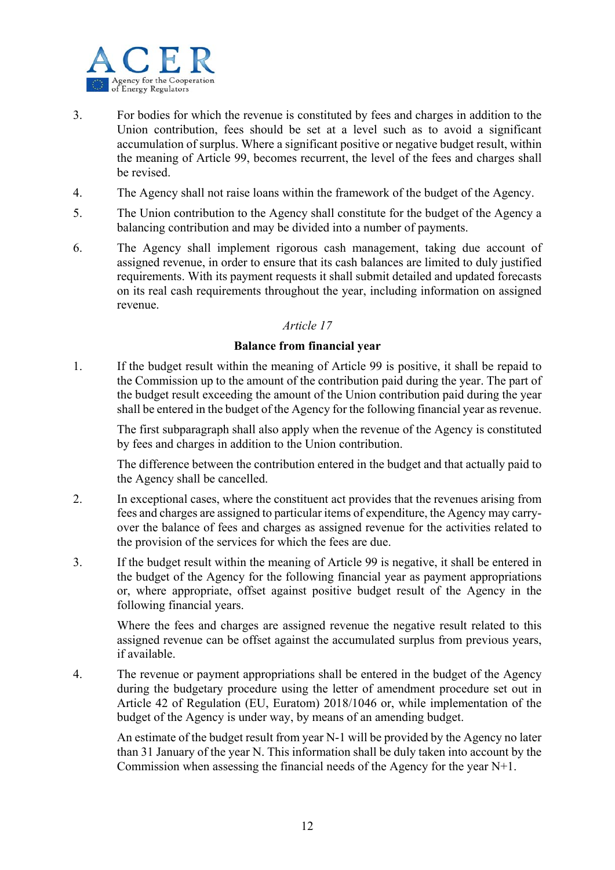

- 3. For bodies for which the revenue is constituted by fees and charges in addition to the Union contribution, fees should be set at a level such as to avoid a significant accumulation of surplus. Where a significant positive or negative budget result, within the meaning of Article 99, becomes recurrent, the level of the fees and charges shall be revised.
- 4. The Agency shall not raise loans within the framework of the budget of the Agency.
- 5. The Union contribution to the Agency shall constitute for the budget of the Agency a balancing contribution and may be divided into a number of payments.
- 6. The Agency shall implement rigorous cash management, taking due account of assigned revenue, in order to ensure that its cash balances are limited to duly justified requirements. With its payment requests it shall submit detailed and updated forecasts on its real cash requirements throughout the year, including information on assigned revenue.

## **Balance from financial year**

1. If the budget result within the meaning of Article 99 is positive, it shall be repaid to the Commission up to the amount of the contribution paid during the year. The part of the budget result exceeding the amount of the Union contribution paid during the year shall be entered in the budget of the Agency for the following financial year as revenue.

The first subparagraph shall also apply when the revenue of the Agency is constituted by fees and charges in addition to the Union contribution.

The difference between the contribution entered in the budget and that actually paid to the Agency shall be cancelled.

- 2. In exceptional cases, where the constituent act provides that the revenues arising from fees and charges are assigned to particular items of expenditure, the Agency may carryover the balance of fees and charges as assigned revenue for the activities related to the provision of the services for which the fees are due.
- 3. If the budget result within the meaning of Article 99 is negative, it shall be entered in the budget of the Agency for the following financial year as payment appropriations or, where appropriate, offset against positive budget result of the Agency in the following financial years.

Where the fees and charges are assigned revenue the negative result related to this assigned revenue can be offset against the accumulated surplus from previous years, if available.

4. The revenue or payment appropriations shall be entered in the budget of the Agency during the budgetary procedure using the letter of amendment procedure set out in Article 42 of Regulation (EU, Euratom) 2018/1046 or, while implementation of the budget of the Agency is under way, by means of an amending budget.

An estimate of the budget result from year N-1 will be provided by the Agency no later than 31 January of the year N. This information shall be duly taken into account by the Commission when assessing the financial needs of the Agency for the year N+1.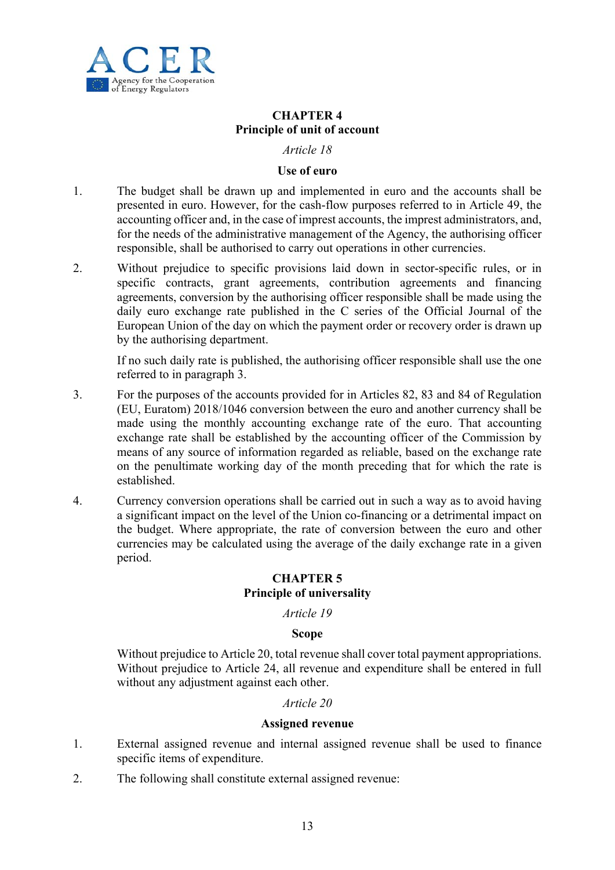

## **CHAPTER 4 Principle of unit of account**

#### *Article 18*

#### **Use of euro**

- 1. The budget shall be drawn up and implemented in euro and the accounts shall be presented in euro. However, for the cash-flow purposes referred to in Article 49, the accounting officer and, in the case of imprest accounts, the imprest administrators, and, for the needs of the administrative management of the Agency, the authorising officer responsible, shall be authorised to carry out operations in other currencies.
- 2. Without prejudice to specific provisions laid down in sector-specific rules, or in specific contracts, grant agreements, contribution agreements and financing agreements, conversion by the authorising officer responsible shall be made using the daily euro exchange rate published in the C series of the Official Journal of the European Union of the day on which the payment order or recovery order is drawn up by the authorising department.

If no such daily rate is published, the authorising officer responsible shall use the one referred to in paragraph 3.

- 3. For the purposes of the accounts provided for in Articles 82, 83 and 84 of Regulation (EU, Euratom) 2018/1046 conversion between the euro and another currency shall be made using the monthly accounting exchange rate of the euro. That accounting exchange rate shall be established by the accounting officer of the Commission by means of any source of information regarded as reliable, based on the exchange rate on the penultimate working day of the month preceding that for which the rate is established.
- 4. Currency conversion operations shall be carried out in such a way as to avoid having a significant impact on the level of the Union co-financing or a detrimental impact on the budget. Where appropriate, the rate of conversion between the euro and other currencies may be calculated using the average of the daily exchange rate in a given period.

## **CHAPTER 5 Principle of universality**

## *Article 19*

## **Scope**

Without prejudice to Article 20, total revenue shall cover total payment appropriations. Without prejudice to Article 24, all revenue and expenditure shall be entered in full without any adjustment against each other.

## *Article 20*

#### **Assigned revenue**

- 1. External assigned revenue and internal assigned revenue shall be used to finance specific items of expenditure.
- 2. The following shall constitute external assigned revenue: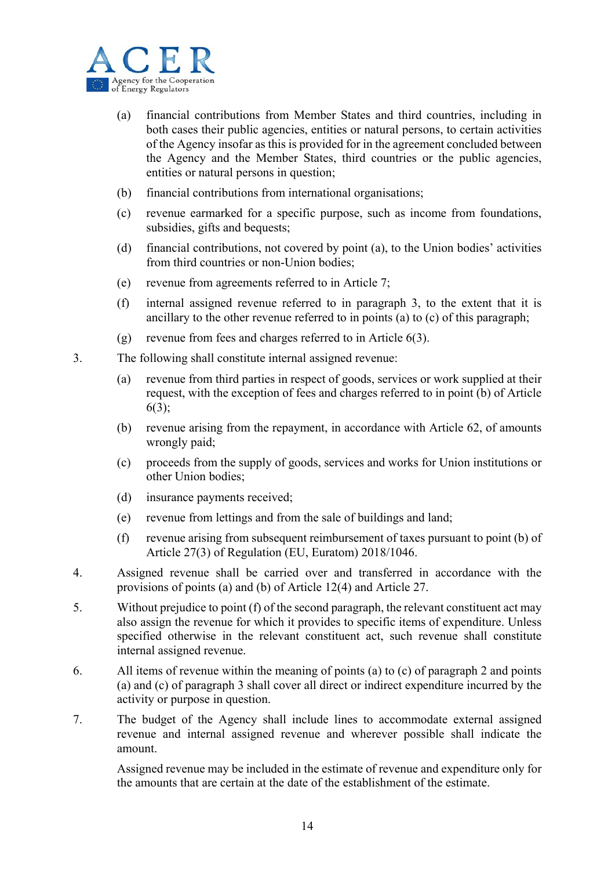

- (a) financial contributions from Member States and third countries, including in both cases their public agencies, entities or natural persons, to certain activities of the Agency insofar as this is provided for in the agreement concluded between the Agency and the Member States, third countries or the public agencies, entities or natural persons in question;
- (b) financial contributions from international organisations;
- (c) revenue earmarked for a specific purpose, such as income from foundations, subsidies, gifts and bequests;
- (d) financial contributions, not covered by point (a), to the Union bodies' activities from third countries or non-Union bodies;
- (e) revenue from agreements referred to in Article 7;
- (f) internal assigned revenue referred to in paragraph 3, to the extent that it is ancillary to the other revenue referred to in points (a) to (c) of this paragraph;
- (g) revenue from fees and charges referred to in Article  $6(3)$ .
- 3. The following shall constitute internal assigned revenue:
	- (a) revenue from third parties in respect of goods, services or work supplied at their request, with the exception of fees and charges referred to in point (b) of Article 6(3);
	- (b) revenue arising from the repayment, in accordance with Article 62, of amounts wrongly paid;
	- (c) proceeds from the supply of goods, services and works for Union institutions or other Union bodies;
	- (d) insurance payments received;
	- (e) revenue from lettings and from the sale of buildings and land;
	- (f) revenue arising from subsequent reimbursement of taxes pursuant to point (b) of Article 27(3) of Regulation (EU, Euratom) 2018/1046.
- 4. Assigned revenue shall be carried over and transferred in accordance with the provisions of points (a) and (b) of Article 12(4) and Article 27.
- 5. Without prejudice to point (f) of the second paragraph, the relevant constituent act may also assign the revenue for which it provides to specific items of expenditure. Unless specified otherwise in the relevant constituent act, such revenue shall constitute internal assigned revenue.
- 6. All items of revenue within the meaning of points (a) to (c) of paragraph 2 and points (a) and (c) of paragraph 3 shall cover all direct or indirect expenditure incurred by the activity or purpose in question.
- 7. The budget of the Agency shall include lines to accommodate external assigned revenue and internal assigned revenue and wherever possible shall indicate the amount.

Assigned revenue may be included in the estimate of revenue and expenditure only for the amounts that are certain at the date of the establishment of the estimate.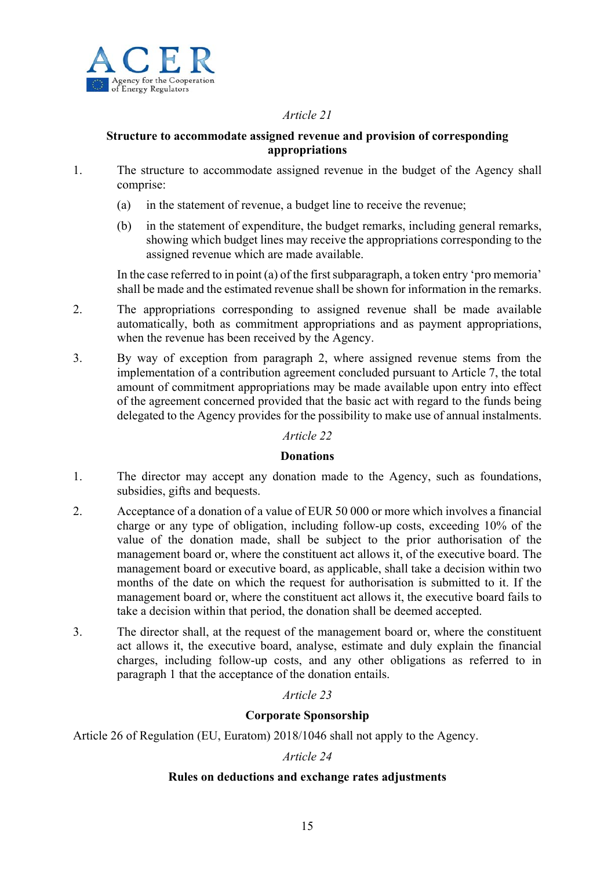

## **Structure to accommodate assigned revenue and provision of corresponding appropriations**

- 1. The structure to accommodate assigned revenue in the budget of the Agency shall comprise:
	- (a) in the statement of revenue, a budget line to receive the revenue;
	- (b) in the statement of expenditure, the budget remarks, including general remarks, showing which budget lines may receive the appropriations corresponding to the assigned revenue which are made available.

In the case referred to in point (a) of the first subparagraph, a token entry 'pro memoria' shall be made and the estimated revenue shall be shown for information in the remarks.

- 2. The appropriations corresponding to assigned revenue shall be made available automatically, both as commitment appropriations and as payment appropriations, when the revenue has been received by the Agency.
- 3. By way of exception from paragraph 2, where assigned revenue stems from the implementation of a contribution agreement concluded pursuant to Article 7, the total amount of commitment appropriations may be made available upon entry into effect of the agreement concerned provided that the basic act with regard to the funds being delegated to the Agency provides for the possibility to make use of annual instalments.

## *Article 22*

#### **Donations**

- 1. The director may accept any donation made to the Agency, such as foundations, subsidies, gifts and bequests.
- 2. Acceptance of a donation of a value of EUR 50 000 or more which involves a financial charge or any type of obligation, including follow-up costs, exceeding 10% of the value of the donation made, shall be subject to the prior authorisation of the management board or, where the constituent act allows it, of the executive board. The management board or executive board, as applicable, shall take a decision within two months of the date on which the request for authorisation is submitted to it. If the management board or, where the constituent act allows it, the executive board fails to take a decision within that period, the donation shall be deemed accepted.
- 3. The director shall, at the request of the management board or, where the constituent act allows it, the executive board, analyse, estimate and duly explain the financial charges, including follow-up costs, and any other obligations as referred to in paragraph 1 that the acceptance of the donation entails.

## *Article 23*

## **Corporate Sponsorship**

Article 26 of Regulation (EU, Euratom) 2018/1046 shall not apply to the Agency.

## *Article 24*

## **Rules on deductions and exchange rates adjustments**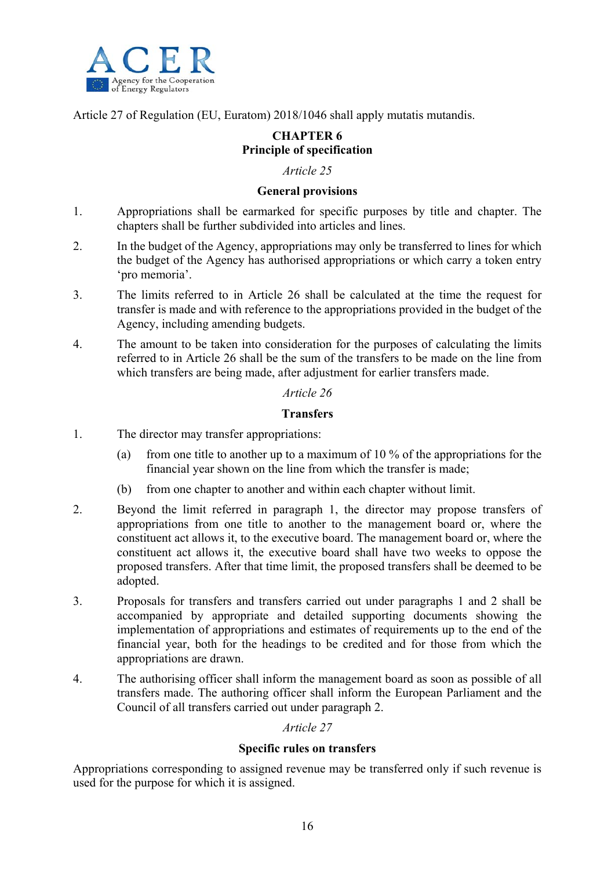

Article 27 of Regulation (EU, Euratom) 2018/1046 shall apply mutatis mutandis.

## **CHAPTER 6 Principle of specification**

## *Article 25*

## **General provisions**

- 1. Appropriations shall be earmarked for specific purposes by title and chapter. The chapters shall be further subdivided into articles and lines.
- 2. In the budget of the Agency, appropriations may only be transferred to lines for which the budget of the Agency has authorised appropriations or which carry a token entry 'pro memoria'.
- 3. The limits referred to in Article 26 shall be calculated at the time the request for transfer is made and with reference to the appropriations provided in the budget of the Agency, including amending budgets.
- 4. The amount to be taken into consideration for the purposes of calculating the limits referred to in Article 26 shall be the sum of the transfers to be made on the line from which transfers are being made, after adjustment for earlier transfers made.

## *Article 26*

## **Transfers**

- 1. The director may transfer appropriations:
	- (a) from one title to another up to a maximum of 10 % of the appropriations for the financial year shown on the line from which the transfer is made;
	- (b) from one chapter to another and within each chapter without limit.
- 2. Beyond the limit referred in paragraph 1, the director may propose transfers of appropriations from one title to another to the management board or, where the constituent act allows it, to the executive board. The management board or, where the constituent act allows it, the executive board shall have two weeks to oppose the proposed transfers. After that time limit, the proposed transfers shall be deemed to be adopted.
- 3. Proposals for transfers and transfers carried out under paragraphs 1 and 2 shall be accompanied by appropriate and detailed supporting documents showing the implementation of appropriations and estimates of requirements up to the end of the financial year, both for the headings to be credited and for those from which the appropriations are drawn.
- 4. The authorising officer shall inform the management board as soon as possible of all transfers made. The authoring officer shall inform the European Parliament and the Council of all transfers carried out under paragraph 2.

## *Article 27*

## **Specific rules on transfers**

Appropriations corresponding to assigned revenue may be transferred only if such revenue is used for the purpose for which it is assigned.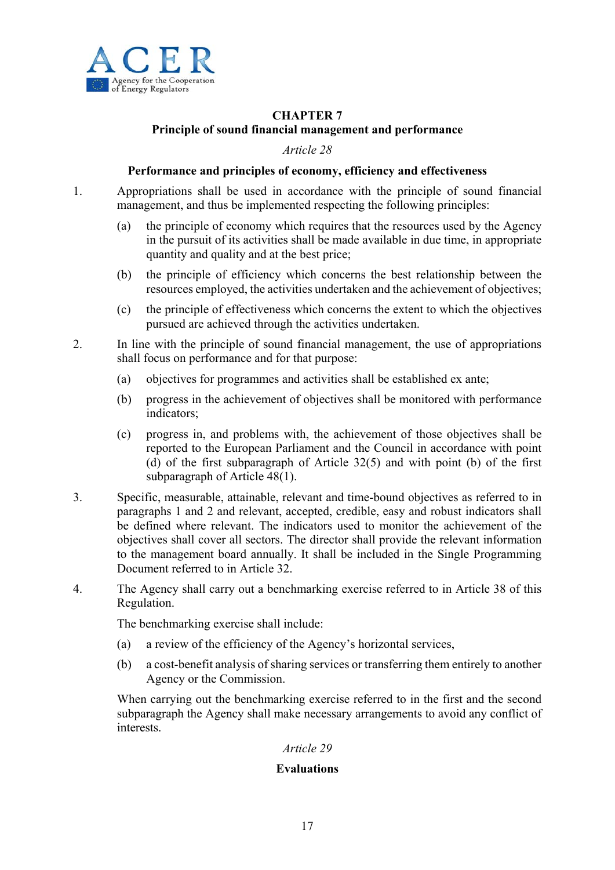

## **CHAPTER 7 Principle of sound financial management and performance**

*Article 28* 

## **Performance and principles of economy, efficiency and effectiveness**

- 1. Appropriations shall be used in accordance with the principle of sound financial management, and thus be implemented respecting the following principles:
	- (a) the principle of economy which requires that the resources used by the Agency in the pursuit of its activities shall be made available in due time, in appropriate quantity and quality and at the best price;
	- (b) the principle of efficiency which concerns the best relationship between the resources employed, the activities undertaken and the achievement of objectives;
	- (c) the principle of effectiveness which concerns the extent to which the objectives pursued are achieved through the activities undertaken.
- 2. In line with the principle of sound financial management, the use of appropriations shall focus on performance and for that purpose:
	- (a) objectives for programmes and activities shall be established ex ante;
	- (b) progress in the achievement of objectives shall be monitored with performance indicators;
	- (c) progress in, and problems with, the achievement of those objectives shall be reported to the European Parliament and the Council in accordance with point (d) of the first subparagraph of Article 32(5) and with point (b) of the first subparagraph of Article 48(1).
- 3. Specific, measurable, attainable, relevant and time-bound objectives as referred to in paragraphs 1 and 2 and relevant, accepted, credible, easy and robust indicators shall be defined where relevant. The indicators used to monitor the achievement of the objectives shall cover all sectors. The director shall provide the relevant information to the management board annually. It shall be included in the Single Programming Document referred to in Article 32.
- 4. The Agency shall carry out a benchmarking exercise referred to in Article 38 of this Regulation.

The benchmarking exercise shall include:

- (a) a review of the efficiency of the Agency's horizontal services,
- (b) a cost-benefit analysis of sharing services or transferring them entirely to another Agency or the Commission.

When carrying out the benchmarking exercise referred to in the first and the second subparagraph the Agency shall make necessary arrangements to avoid any conflict of interests.

## *Article 29*

## **Evaluations**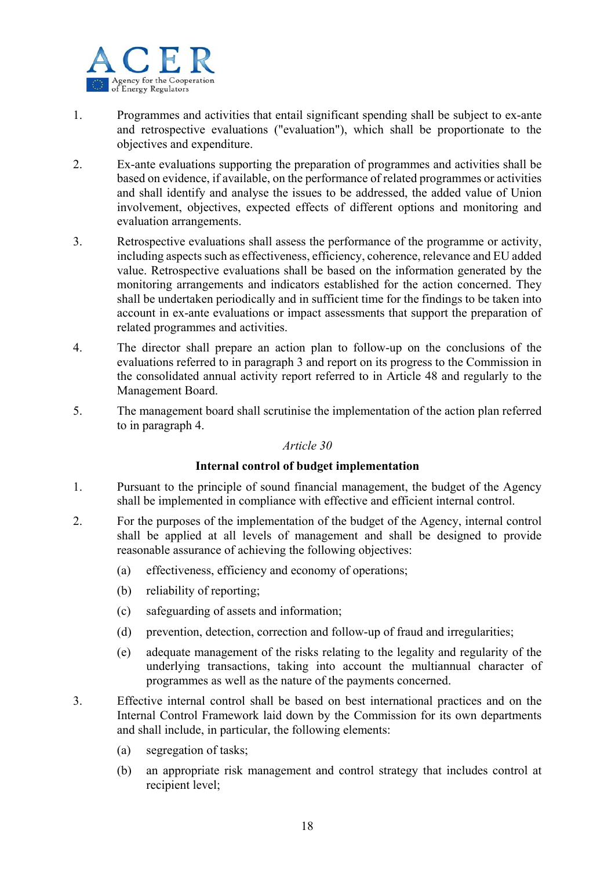

- 1. Programmes and activities that entail significant spending shall be subject to ex-ante and retrospective evaluations ("evaluation"), which shall be proportionate to the objectives and expenditure.
- 2. Ex-ante evaluations supporting the preparation of programmes and activities shall be based on evidence, if available, on the performance of related programmes or activities and shall identify and analyse the issues to be addressed, the added value of Union involvement, objectives, expected effects of different options and monitoring and evaluation arrangements.
- 3. Retrospective evaluations shall assess the performance of the programme or activity, including aspects such as effectiveness, efficiency, coherence, relevance and EU added value. Retrospective evaluations shall be based on the information generated by the monitoring arrangements and indicators established for the action concerned. They shall be undertaken periodically and in sufficient time for the findings to be taken into account in ex-ante evaluations or impact assessments that support the preparation of related programmes and activities.
- 4. The director shall prepare an action plan to follow-up on the conclusions of the evaluations referred to in paragraph 3 and report on its progress to the Commission in the consolidated annual activity report referred to in Article 48 and regularly to the Management Board.
- 5. The management board shall scrutinise the implementation of the action plan referred to in paragraph 4.

## **Internal control of budget implementation**

- 1. Pursuant to the principle of sound financial management, the budget of the Agency shall be implemented in compliance with effective and efficient internal control.
- 2. For the purposes of the implementation of the budget of the Agency, internal control shall be applied at all levels of management and shall be designed to provide reasonable assurance of achieving the following objectives:
	- (a) effectiveness, efficiency and economy of operations;
	- (b) reliability of reporting;
	- (c) safeguarding of assets and information;
	- (d) prevention, detection, correction and follow-up of fraud and irregularities;
	- (e) adequate management of the risks relating to the legality and regularity of the underlying transactions, taking into account the multiannual character of programmes as well as the nature of the payments concerned.
- 3. Effective internal control shall be based on best international practices and on the Internal Control Framework laid down by the Commission for its own departments and shall include, in particular, the following elements:
	- (a) segregation of tasks;
	- (b) an appropriate risk management and control strategy that includes control at recipient level;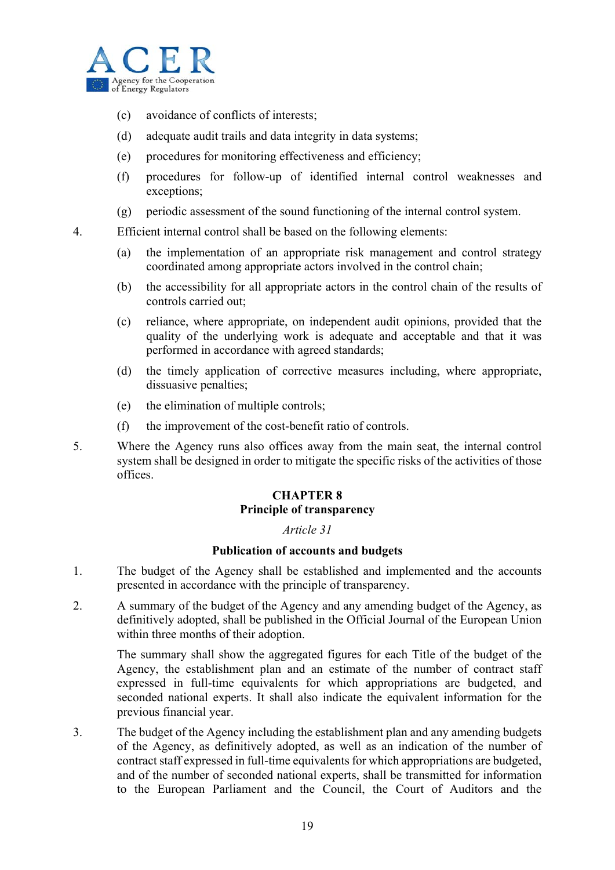

- (c) avoidance of conflicts of interests;
- (d) adequate audit trails and data integrity in data systems;
- (e) procedures for monitoring effectiveness and efficiency;
- (f) procedures for follow-up of identified internal control weaknesses and exceptions;
- (g) periodic assessment of the sound functioning of the internal control system.

4. Efficient internal control shall be based on the following elements:

- (a) the implementation of an appropriate risk management and control strategy coordinated among appropriate actors involved in the control chain;
- (b) the accessibility for all appropriate actors in the control chain of the results of controls carried out;
- (c) reliance, where appropriate, on independent audit opinions, provided that the quality of the underlying work is adequate and acceptable and that it was performed in accordance with agreed standards;
- (d) the timely application of corrective measures including, where appropriate, dissuasive penalties;
- (e) the elimination of multiple controls;
- (f) the improvement of the cost-benefit ratio of controls.
- 5. Where the Agency runs also offices away from the main seat, the internal control system shall be designed in order to mitigate the specific risks of the activities of those offices.

## **CHAPTER 8 Principle of transparency**

## *Article 31*

## **Publication of accounts and budgets**

- 1. The budget of the Agency shall be established and implemented and the accounts presented in accordance with the principle of transparency.
- 2. A summary of the budget of the Agency and any amending budget of the Agency, as definitively adopted, shall be published in the Official Journal of the European Union within three months of their adoption.

The summary shall show the aggregated figures for each Title of the budget of the Agency, the establishment plan and an estimate of the number of contract staff expressed in full-time equivalents for which appropriations are budgeted, and seconded national experts. It shall also indicate the equivalent information for the previous financial year.

3. The budget of the Agency including the establishment plan and any amending budgets of the Agency, as definitively adopted, as well as an indication of the number of contract staff expressed in full-time equivalents for which appropriations are budgeted, and of the number of seconded national experts, shall be transmitted for information to the European Parliament and the Council, the Court of Auditors and the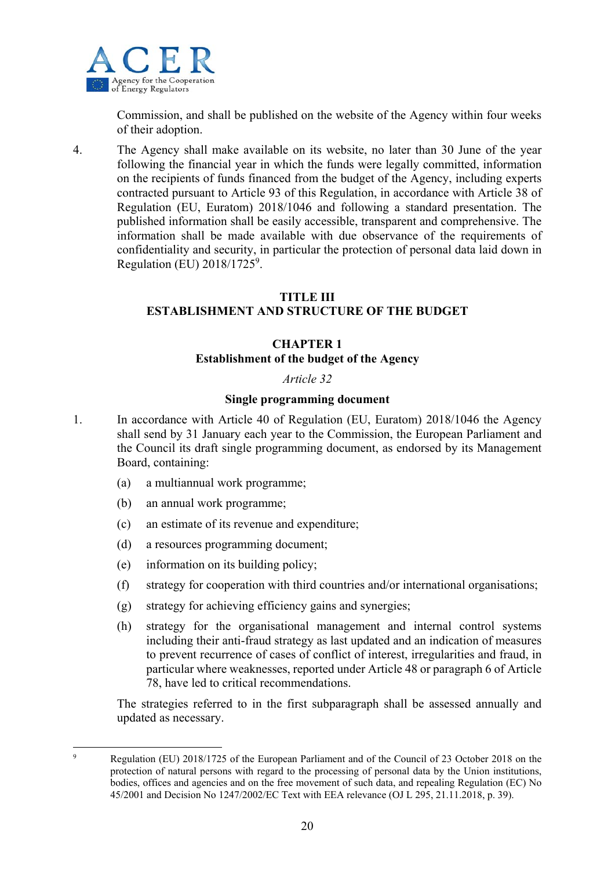

Commission, and shall be published on the website of the Agency within four weeks of their adoption.

4. The Agency shall make available on its website, no later than 30 June of the year following the financial year in which the funds were legally committed, information on the recipients of funds financed from the budget of the Agency, including experts contracted pursuant to Article 93 of this Regulation, in accordance with Article 38 of Regulation (EU, Euratom) 2018/1046 and following a standard presentation. The published information shall be easily accessible, transparent and comprehensive. The information shall be made available with due observance of the requirements of confidentiality and security, in particular the protection of personal data laid down in Regulation (EU) 2018/1725<sup>9</sup>.

## **TITLE III**

## **ESTABLISHMENT AND STRUCTURE OF THE BUDGET**

#### **CHAPTER 1 Establishment of the budget of the Agency**

#### *Article 32*

#### **Single programming document**

- 1. In accordance with Article 40 of Regulation (EU, Euratom) 2018/1046 the Agency shall send by 31 January each year to the Commission, the European Parliament and the Council its draft single programming document, as endorsed by its Management Board, containing:
	- (a) a multiannual work programme;
	- (b) an annual work programme;
	- (c) an estimate of its revenue and expenditure;
	- (d) a resources programming document;
	- (e) information on its building policy;
	- (f) strategy for cooperation with third countries and/or international organisations;
	- (g) strategy for achieving efficiency gains and synergies;
	- (h) strategy for the organisational management and internal control systems including their anti-fraud strategy as last updated and an indication of measures to prevent recurrence of cases of conflict of interest, irregularities and fraud, in particular where weaknesses, reported under Article 48 or paragraph 6 of Article 78, have led to critical recommendations.

The strategies referred to in the first subparagraph shall be assessed annually and updated as necessary.

1 9

Regulation (EU) 2018/1725 of the European Parliament and of the Council of 23 October 2018 on the protection of natural persons with regard to the processing of personal data by the Union institutions, bodies, offices and agencies and on the free movement of such data, and repealing Regulation (EC) No 45/2001 and Decision No 1247/2002/EC Text with EEA relevance (OJ L 295, 21.11.2018, p. 39).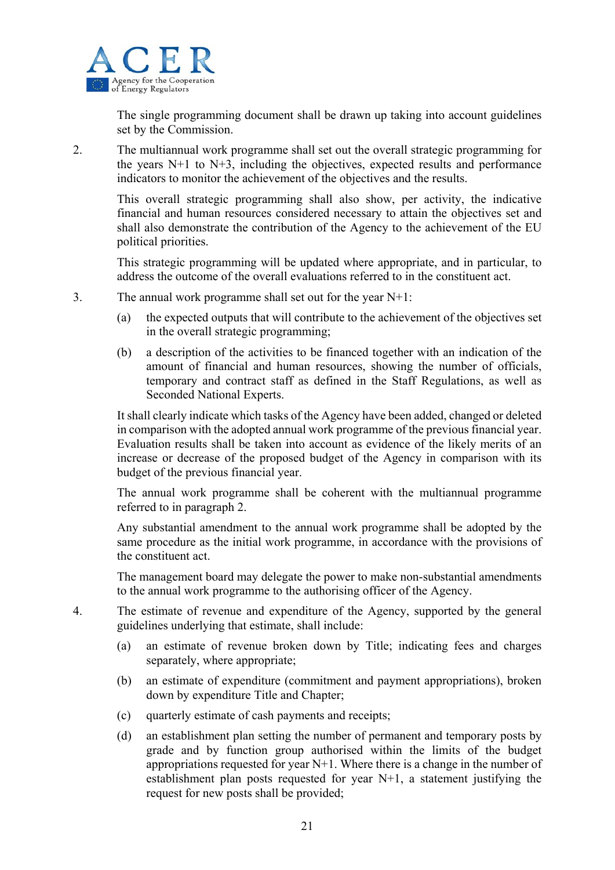

The single programming document shall be drawn up taking into account guidelines set by the Commission.

2. The multiannual work programme shall set out the overall strategic programming for the years  $N+1$  to  $N+3$ , including the objectives, expected results and performance indicators to monitor the achievement of the objectives and the results.

This overall strategic programming shall also show, per activity, the indicative financial and human resources considered necessary to attain the objectives set and shall also demonstrate the contribution of the Agency to the achievement of the EU political priorities.

This strategic programming will be updated where appropriate, and in particular, to address the outcome of the overall evaluations referred to in the constituent act.

- 3. The annual work programme shall set out for the year N+1:
	- (a) the expected outputs that will contribute to the achievement of the objectives set in the overall strategic programming;
	- (b) a description of the activities to be financed together with an indication of the amount of financial and human resources, showing the number of officials, temporary and contract staff as defined in the Staff Regulations, as well as Seconded National Experts.

It shall clearly indicate which tasks of the Agency have been added, changed or deleted in comparison with the adopted annual work programme of the previous financial year. Evaluation results shall be taken into account as evidence of the likely merits of an increase or decrease of the proposed budget of the Agency in comparison with its budget of the previous financial year.

The annual work programme shall be coherent with the multiannual programme referred to in paragraph 2.

Any substantial amendment to the annual work programme shall be adopted by the same procedure as the initial work programme, in accordance with the provisions of the constituent act.

The management board may delegate the power to make non-substantial amendments to the annual work programme to the authorising officer of the Agency.

- 4. The estimate of revenue and expenditure of the Agency, supported by the general guidelines underlying that estimate, shall include:
	- (a) an estimate of revenue broken down by Title; indicating fees and charges separately, where appropriate;
	- (b) an estimate of expenditure (commitment and payment appropriations), broken down by expenditure Title and Chapter;
	- (c) quarterly estimate of cash payments and receipts;
	- (d) an establishment plan setting the number of permanent and temporary posts by grade and by function group authorised within the limits of the budget appropriations requested for year  $N+1$ . Where there is a change in the number of establishment plan posts requested for year N+1, a statement justifying the request for new posts shall be provided;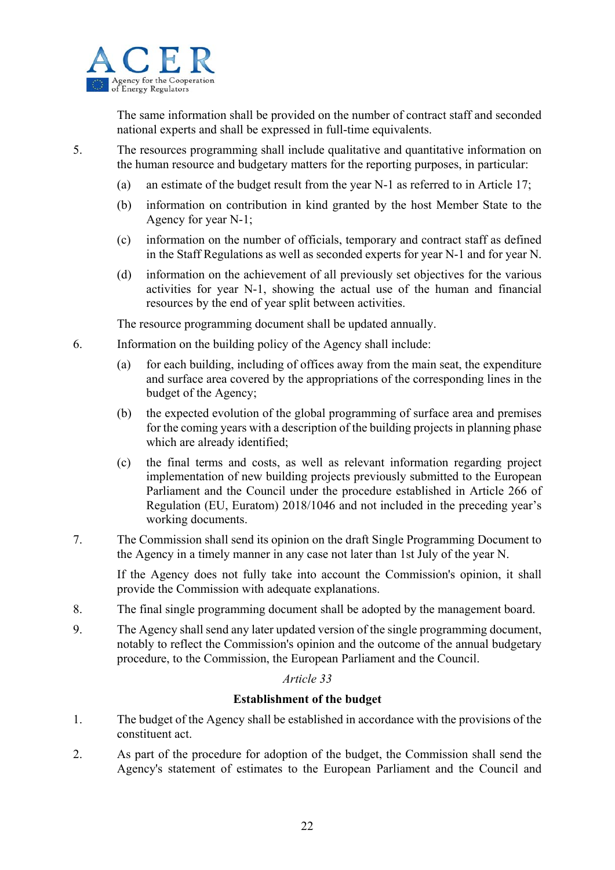

The same information shall be provided on the number of contract staff and seconded national experts and shall be expressed in full-time equivalents.

- 5. The resources programming shall include qualitative and quantitative information on the human resource and budgetary matters for the reporting purposes, in particular:
	- (a) an estimate of the budget result from the year N-1 as referred to in Article 17;
	- (b) information on contribution in kind granted by the host Member State to the Agency for year N-1;
	- (c) information on the number of officials, temporary and contract staff as defined in the Staff Regulations as well as seconded experts for year N-1 and for year N.
	- (d) information on the achievement of all previously set objectives for the various activities for year N-1, showing the actual use of the human and financial resources by the end of year split between activities.

The resource programming document shall be updated annually.

- 6. Information on the building policy of the Agency shall include:
	- (a) for each building, including of offices away from the main seat, the expenditure and surface area covered by the appropriations of the corresponding lines in the budget of the Agency;
	- (b) the expected evolution of the global programming of surface area and premises for the coming years with a description of the building projects in planning phase which are already identified;
	- (c) the final terms and costs, as well as relevant information regarding project implementation of new building projects previously submitted to the European Parliament and the Council under the procedure established in Article 266 of Regulation (EU, Euratom) 2018/1046 and not included in the preceding year's working documents.
- 7. The Commission shall send its opinion on the draft Single Programming Document to the Agency in a timely manner in any case not later than 1st July of the year N.

If the Agency does not fully take into account the Commission's opinion, it shall provide the Commission with adequate explanations.

- 8. The final single programming document shall be adopted by the management board.
- 9. The Agency shall send any later updated version of the single programming document, notably to reflect the Commission's opinion and the outcome of the annual budgetary procedure, to the Commission, the European Parliament and the Council.

## *Article 33*

## **Establishment of the budget**

- 1. The budget of the Agency shall be established in accordance with the provisions of the constituent act.
- 2. As part of the procedure for adoption of the budget, the Commission shall send the Agency's statement of estimates to the European Parliament and the Council and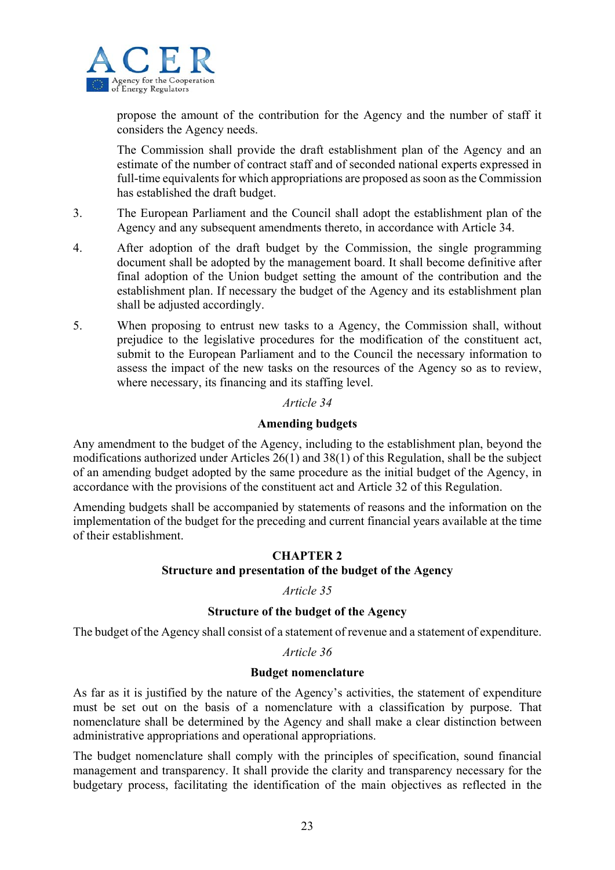

propose the amount of the contribution for the Agency and the number of staff it considers the Agency needs.

The Commission shall provide the draft establishment plan of the Agency and an estimate of the number of contract staff and of seconded national experts expressed in full-time equivalents for which appropriations are proposed as soon as the Commission has established the draft budget.

- 3. The European Parliament and the Council shall adopt the establishment plan of the Agency and any subsequent amendments thereto, in accordance with Article 34.
- 4. After adoption of the draft budget by the Commission, the single programming document shall be adopted by the management board. It shall become definitive after final adoption of the Union budget setting the amount of the contribution and the establishment plan. If necessary the budget of the Agency and its establishment plan shall be adjusted accordingly.
- 5. When proposing to entrust new tasks to a Agency, the Commission shall, without prejudice to the legislative procedures for the modification of the constituent act, submit to the European Parliament and to the Council the necessary information to assess the impact of the new tasks on the resources of the Agency so as to review, where necessary, its financing and its staffing level.

## *Article 34*

## **Amending budgets**

Any amendment to the budget of the Agency, including to the establishment plan, beyond the modifications authorized under Articles 26(1) and 38(1) of this Regulation, shall be the subject of an amending budget adopted by the same procedure as the initial budget of the Agency, in accordance with the provisions of the constituent act and Article 32 of this Regulation.

Amending budgets shall be accompanied by statements of reasons and the information on the implementation of the budget for the preceding and current financial years available at the time of their establishment.

## **CHAPTER 2**

## **Structure and presentation of the budget of the Agency**

## *Article 35*

## **Structure of the budget of the Agency**

The budget of the Agency shall consist of a statement of revenue and a statement of expenditure.

## *Article 36*

## **Budget nomenclature**

As far as it is justified by the nature of the Agency's activities, the statement of expenditure must be set out on the basis of a nomenclature with a classification by purpose. That nomenclature shall be determined by the Agency and shall make a clear distinction between administrative appropriations and operational appropriations.

The budget nomenclature shall comply with the principles of specification, sound financial management and transparency. It shall provide the clarity and transparency necessary for the budgetary process, facilitating the identification of the main objectives as reflected in the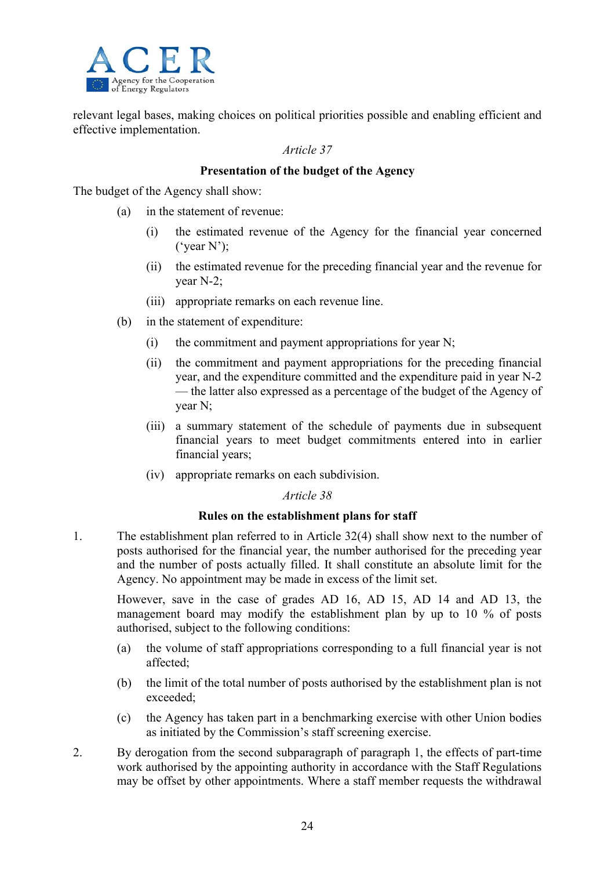

relevant legal bases, making choices on political priorities possible and enabling efficient and effective implementation.

#### *Article 37*

## **Presentation of the budget of the Agency**

The budget of the Agency shall show:

- (a) in the statement of revenue:
	- (i) the estimated revenue of the Agency for the financial year concerned ( $\text{year } N$ );
	- (ii) the estimated revenue for the preceding financial year and the revenue for year N-2;
	- (iii) appropriate remarks on each revenue line.
- (b) in the statement of expenditure:
	- (i) the commitment and payment appropriations for year N;
	- (ii) the commitment and payment appropriations for the preceding financial year, and the expenditure committed and the expenditure paid in year N-2 — the latter also expressed as a percentage of the budget of the Agency of year N;
	- (iii) a summary statement of the schedule of payments due in subsequent financial years to meet budget commitments entered into in earlier financial years;
	- (iv) appropriate remarks on each subdivision.

#### *Article 38*

#### **Rules on the establishment plans for staff**

1. The establishment plan referred to in Article 32(4) shall show next to the number of posts authorised for the financial year, the number authorised for the preceding year and the number of posts actually filled. It shall constitute an absolute limit for the Agency. No appointment may be made in excess of the limit set.

However, save in the case of grades AD 16, AD 15, AD 14 and AD 13, the management board may modify the establishment plan by up to 10 % of posts authorised, subject to the following conditions:

- (a) the volume of staff appropriations corresponding to a full financial year is not affected;
- (b) the limit of the total number of posts authorised by the establishment plan is not exceeded;
- (c) the Agency has taken part in a benchmarking exercise with other Union bodies as initiated by the Commission's staff screening exercise.
- 2. By derogation from the second subparagraph of paragraph 1, the effects of part-time work authorised by the appointing authority in accordance with the Staff Regulations may be offset by other appointments. Where a staff member requests the withdrawal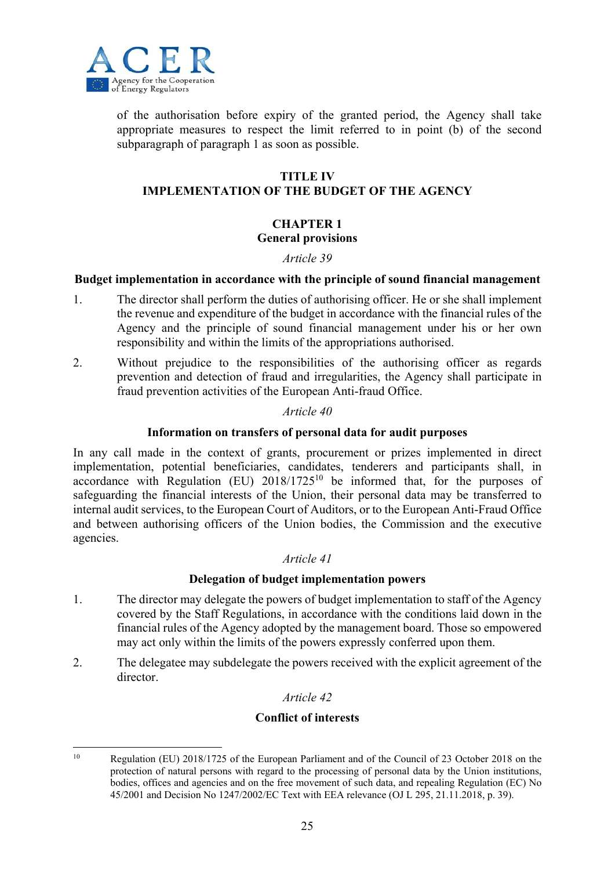

of the authorisation before expiry of the granted period, the Agency shall take appropriate measures to respect the limit referred to in point (b) of the second subparagraph of paragraph 1 as soon as possible.

## **TITLE IV**

## **IMPLEMENTATION OF THE BUDGET OF THE AGENCY**

## **CHAPTER 1**

#### **General provisions**

## *Article 39*

## **Budget implementation in accordance with the principle of sound financial management**

- 1. The director shall perform the duties of authorising officer. He or she shall implement the revenue and expenditure of the budget in accordance with the financial rules of the Agency and the principle of sound financial management under his or her own responsibility and within the limits of the appropriations authorised.
- 2. Without prejudice to the responsibilities of the authorising officer as regards prevention and detection of fraud and irregularities, the Agency shall participate in fraud prevention activities of the European Anti-fraud Office.

## *Article 40*

## **Information on transfers of personal data for audit purposes**

In any call made in the context of grants, procurement or prizes implemented in direct implementation, potential beneficiaries, candidates, tenderers and participants shall, in accordance with Regulation (EU)  $2018/1725^{10}$  be informed that, for the purposes of safeguarding the financial interests of the Union, their personal data may be transferred to internal audit services, to the European Court of Auditors, or to the European Anti-Fraud Office and between authorising officers of the Union bodies, the Commission and the executive agencies.

## *Article 41*

## **Delegation of budget implementation powers**

- 1. The director may delegate the powers of budget implementation to staff of the Agency covered by the Staff Regulations, in accordance with the conditions laid down in the financial rules of the Agency adopted by the management board. Those so empowered may act only within the limits of the powers expressly conferred upon them.
- 2. The delegatee may subdelegate the powers received with the explicit agreement of the director.

## *Article 42*

## **Conflict of interests**

<sup>1</sup> <sup>10</sup> Regulation (EU) 2018/1725 of the European Parliament and of the Council of 23 October 2018 on the protection of natural persons with regard to the processing of personal data by the Union institutions, bodies, offices and agencies and on the free movement of such data, and repealing Regulation (EC) No 45/2001 and Decision No 1247/2002/EC Text with EEA relevance (OJ L 295, 21.11.2018, p. 39).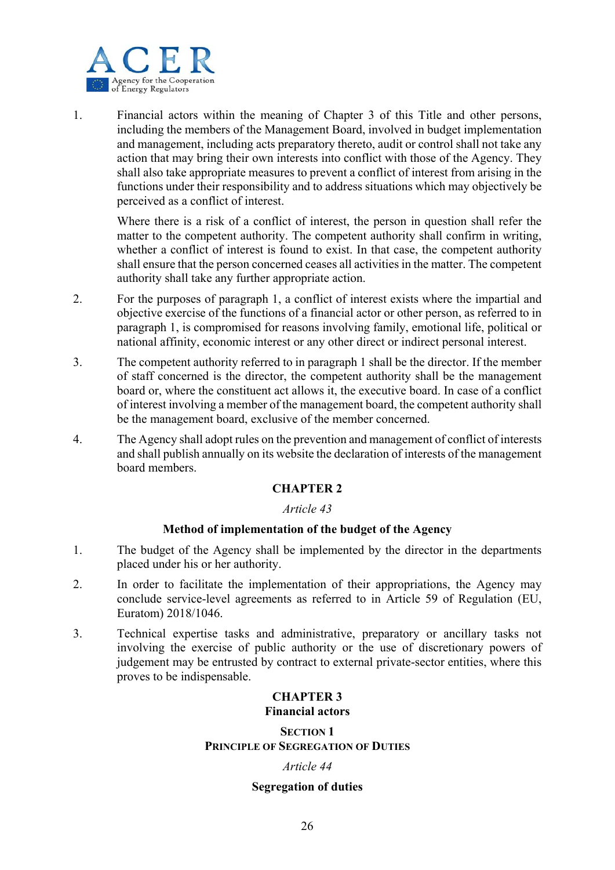

1. Financial actors within the meaning of Chapter 3 of this Title and other persons, including the members of the Management Board, involved in budget implementation and management, including acts preparatory thereto, audit or control shall not take any action that may bring their own interests into conflict with those of the Agency. They shall also take appropriate measures to prevent a conflict of interest from arising in the functions under their responsibility and to address situations which may objectively be perceived as a conflict of interest.

Where there is a risk of a conflict of interest, the person in question shall refer the matter to the competent authority. The competent authority shall confirm in writing, whether a conflict of interest is found to exist. In that case, the competent authority shall ensure that the person concerned ceases all activities in the matter. The competent authority shall take any further appropriate action.

- 2. For the purposes of paragraph 1, a conflict of interest exists where the impartial and objective exercise of the functions of a financial actor or other person, as referred to in paragraph 1, is compromised for reasons involving family, emotional life, political or national affinity, economic interest or any other direct or indirect personal interest.
- 3. The competent authority referred to in paragraph 1 shall be the director. If the member of staff concerned is the director, the competent authority shall be the management board or, where the constituent act allows it, the executive board. In case of a conflict of interest involving a member of the management board, the competent authority shall be the management board, exclusive of the member concerned.
- 4. The Agency shall adopt rules on the prevention and management of conflict of interests and shall publish annually on its website the declaration of interests of the management board members.

## **CHAPTER 2**

## *Article 43*

## **Method of implementation of the budget of the Agency**

- 1. The budget of the Agency shall be implemented by the director in the departments placed under his or her authority.
- 2. In order to facilitate the implementation of their appropriations, the Agency may conclude service-level agreements as referred to in Article 59 of Regulation (EU, Euratom) 2018/1046.
- 3. Technical expertise tasks and administrative, preparatory or ancillary tasks not involving the exercise of public authority or the use of discretionary powers of judgement may be entrusted by contract to external private-sector entities, where this proves to be indispensable.

## **CHAPTER 3 Financial actors**

#### **SECTION 1 PRINCIPLE OF SEGREGATION OF DUTIES**

## *Article 44*

## **Segregation of duties**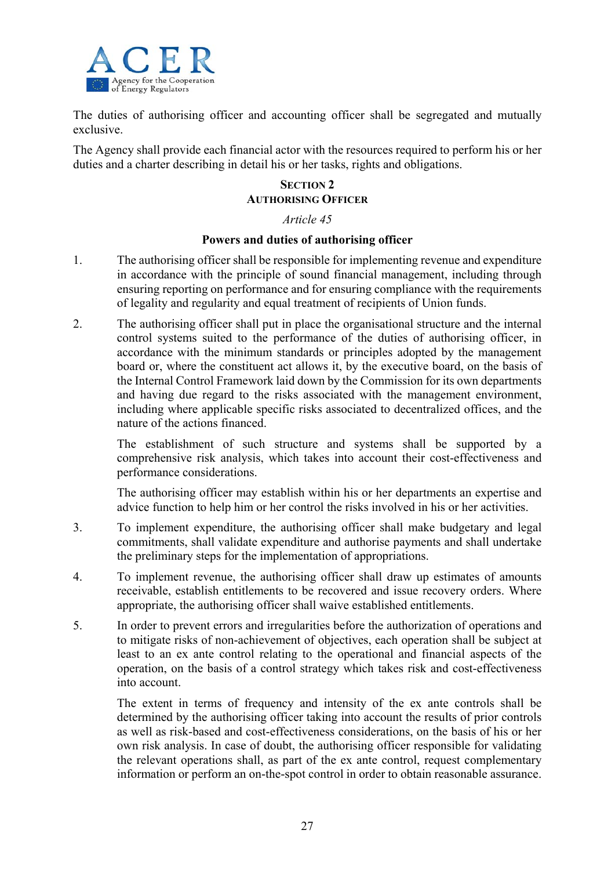

The duties of authorising officer and accounting officer shall be segregated and mutually exclusive.

The Agency shall provide each financial actor with the resources required to perform his or her duties and a charter describing in detail his or her tasks, rights and obligations.

## **SECTION 2 AUTHORISING OFFICER**

## *Article 45*

## **Powers and duties of authorising officer**

- 1. The authorising officer shall be responsible for implementing revenue and expenditure in accordance with the principle of sound financial management, including through ensuring reporting on performance and for ensuring compliance with the requirements of legality and regularity and equal treatment of recipients of Union funds.
- 2. The authorising officer shall put in place the organisational structure and the internal control systems suited to the performance of the duties of authorising officer, in accordance with the minimum standards or principles adopted by the management board or, where the constituent act allows it, by the executive board, on the basis of the Internal Control Framework laid down by the Commission for its own departments and having due regard to the risks associated with the management environment, including where applicable specific risks associated to decentralized offices, and the nature of the actions financed.

The establishment of such structure and systems shall be supported by a comprehensive risk analysis, which takes into account their cost-effectiveness and performance considerations.

The authorising officer may establish within his or her departments an expertise and advice function to help him or her control the risks involved in his or her activities.

- 3. To implement expenditure, the authorising officer shall make budgetary and legal commitments, shall validate expenditure and authorise payments and shall undertake the preliminary steps for the implementation of appropriations.
- 4. To implement revenue, the authorising officer shall draw up estimates of amounts receivable, establish entitlements to be recovered and issue recovery orders. Where appropriate, the authorising officer shall waive established entitlements.
- 5. In order to prevent errors and irregularities before the authorization of operations and to mitigate risks of non-achievement of objectives, each operation shall be subject at least to an ex ante control relating to the operational and financial aspects of the operation, on the basis of a control strategy which takes risk and cost-effectiveness into account.

The extent in terms of frequency and intensity of the ex ante controls shall be determined by the authorising officer taking into account the results of prior controls as well as risk-based and cost-effectiveness considerations, on the basis of his or her own risk analysis. In case of doubt, the authorising officer responsible for validating the relevant operations shall, as part of the ex ante control, request complementary information or perform an on-the-spot control in order to obtain reasonable assurance.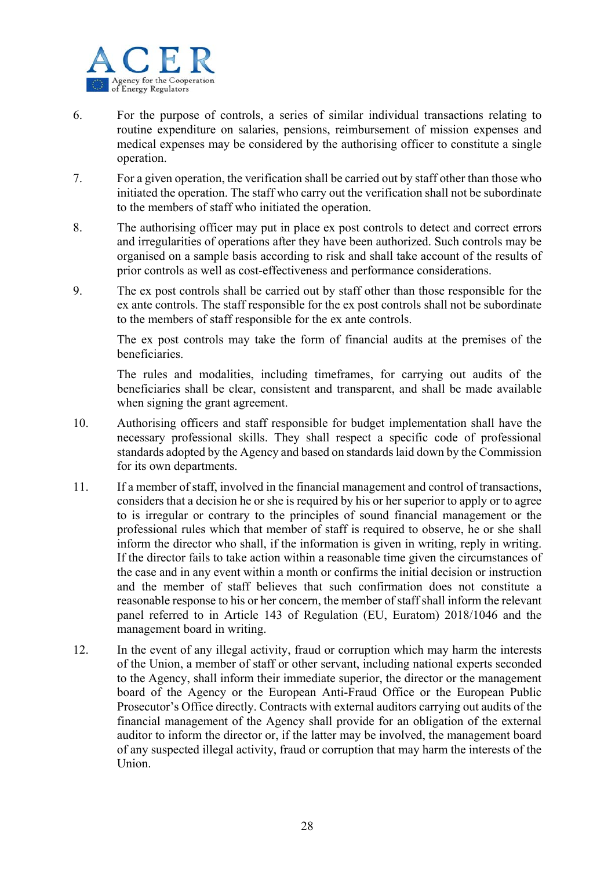

- 6. For the purpose of controls, a series of similar individual transactions relating to routine expenditure on salaries, pensions, reimbursement of mission expenses and medical expenses may be considered by the authorising officer to constitute a single operation.
- 7. For a given operation, the verification shall be carried out by staff other than those who initiated the operation. The staff who carry out the verification shall not be subordinate to the members of staff who initiated the operation.
- 8. The authorising officer may put in place ex post controls to detect and correct errors and irregularities of operations after they have been authorized. Such controls may be organised on a sample basis according to risk and shall take account of the results of prior controls as well as cost-effectiveness and performance considerations.
- 9. The ex post controls shall be carried out by staff other than those responsible for the ex ante controls. The staff responsible for the ex post controls shall not be subordinate to the members of staff responsible for the ex ante controls.

The ex post controls may take the form of financial audits at the premises of the beneficiaries.

The rules and modalities, including timeframes, for carrying out audits of the beneficiaries shall be clear, consistent and transparent, and shall be made available when signing the grant agreement.

- 10. Authorising officers and staff responsible for budget implementation shall have the necessary professional skills. They shall respect a specific code of professional standards adopted by the Agency and based on standards laid down by the Commission for its own departments.
- 11. If a member of staff, involved in the financial management and control of transactions, considers that a decision he or she is required by his or her superior to apply or to agree to is irregular or contrary to the principles of sound financial management or the professional rules which that member of staff is required to observe, he or she shall inform the director who shall, if the information is given in writing, reply in writing. If the director fails to take action within a reasonable time given the circumstances of the case and in any event within a month or confirms the initial decision or instruction and the member of staff believes that such confirmation does not constitute a reasonable response to his or her concern, the member of staff shall inform the relevant panel referred to in Article 143 of Regulation (EU, Euratom) 2018/1046 and the management board in writing.
- 12. In the event of any illegal activity, fraud or corruption which may harm the interests of the Union, a member of staff or other servant, including national experts seconded to the Agency, shall inform their immediate superior, the director or the management board of the Agency or the European Anti-Fraud Office or the European Public Prosecutor's Office directly. Contracts with external auditors carrying out audits of the financial management of the Agency shall provide for an obligation of the external auditor to inform the director or, if the latter may be involved, the management board of any suspected illegal activity, fraud or corruption that may harm the interests of the Union.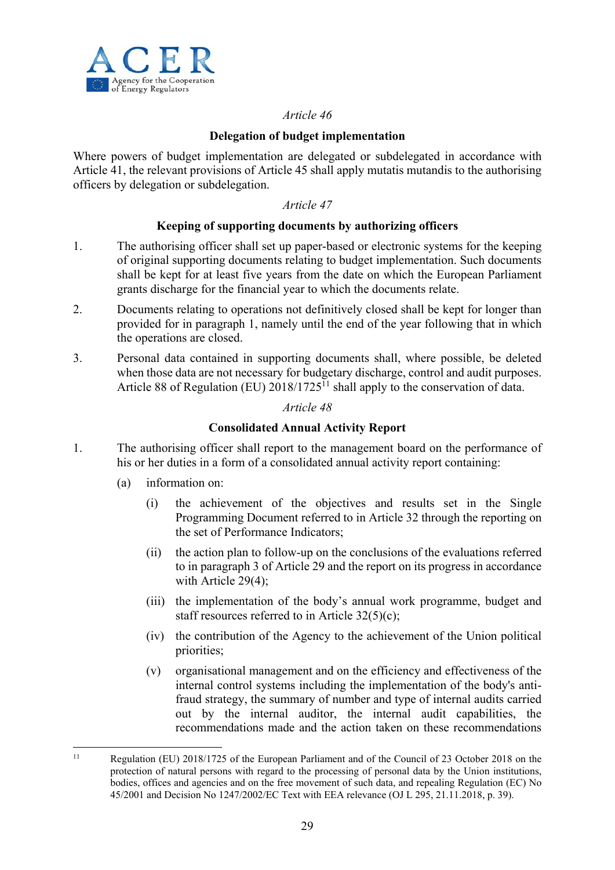

## **Delegation of budget implementation**

Where powers of budget implementation are delegated or subdelegated in accordance with Article 41, the relevant provisions of Article 45 shall apply mutatis mutandis to the authorising officers by delegation or subdelegation.

## *Article 47*

## **Keeping of supporting documents by authorizing officers**

- 1. The authorising officer shall set up paper-based or electronic systems for the keeping of original supporting documents relating to budget implementation. Such documents shall be kept for at least five years from the date on which the European Parliament grants discharge for the financial year to which the documents relate.
- 2. Documents relating to operations not definitively closed shall be kept for longer than provided for in paragraph 1, namely until the end of the year following that in which the operations are closed.
- 3. Personal data contained in supporting documents shall, where possible, be deleted when those data are not necessary for budgetary discharge, control and audit purposes. Article 88 of Regulation (EU)  $2018/1725$ <sup> $\overline{1}$ </sup> shall apply to the conservation of data.

## *Article 48*

## **Consolidated Annual Activity Report**

- 1. The authorising officer shall report to the management board on the performance of his or her duties in a form of a consolidated annual activity report containing:
	- (a) information on:

1

- (i) the achievement of the objectives and results set in the Single Programming Document referred to in Article 32 through the reporting on the set of Performance Indicators;
- (ii) the action plan to follow-up on the conclusions of the evaluations referred to in paragraph 3 of Article 29 and the report on its progress in accordance with Article 29(4);
- (iii) the implementation of the body's annual work programme, budget and staff resources referred to in Article 32(5)(c);
- (iv) the contribution of the Agency to the achievement of the Union political priorities;
- (v) organisational management and on the efficiency and effectiveness of the internal control systems including the implementation of the body's antifraud strategy, the summary of number and type of internal audits carried out by the internal auditor, the internal audit capabilities, the recommendations made and the action taken on these recommendations

<sup>11</sup> Regulation (EU) 2018/1725 of the European Parliament and of the Council of 23 October 2018 on the protection of natural persons with regard to the processing of personal data by the Union institutions, bodies, offices and agencies and on the free movement of such data, and repealing Regulation (EC) No 45/2001 and Decision No 1247/2002/EC Text with EEA relevance (OJ L 295, 21.11.2018, p. 39).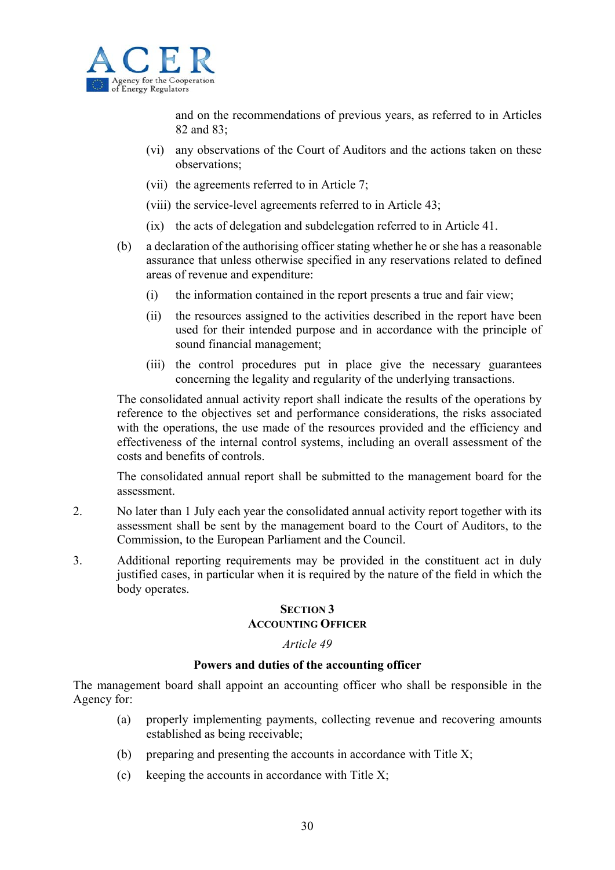

and on the recommendations of previous years, as referred to in Articles 82 and 83;

- (vi) any observations of the Court of Auditors and the actions taken on these observations;
- (vii) the agreements referred to in Article 7;
- (viii) the service-level agreements referred to in Article 43;
- (ix) the acts of delegation and subdelegation referred to in Article 41.
- (b) a declaration of the authorising officer stating whether he or she has a reasonable assurance that unless otherwise specified in any reservations related to defined areas of revenue and expenditure:
	- (i) the information contained in the report presents a true and fair view;
	- (ii) the resources assigned to the activities described in the report have been used for their intended purpose and in accordance with the principle of sound financial management;
	- (iii) the control procedures put in place give the necessary guarantees concerning the legality and regularity of the underlying transactions.

The consolidated annual activity report shall indicate the results of the operations by reference to the objectives set and performance considerations, the risks associated with the operations, the use made of the resources provided and the efficiency and effectiveness of the internal control systems, including an overall assessment of the costs and benefits of controls.

The consolidated annual report shall be submitted to the management board for the assessment.

- 2. No later than 1 July each year the consolidated annual activity report together with its assessment shall be sent by the management board to the Court of Auditors, to the Commission, to the European Parliament and the Council.
- 3. Additional reporting requirements may be provided in the constituent act in duly justified cases, in particular when it is required by the nature of the field in which the body operates.

## **SECTION 3**

#### **ACCOUNTING OFFICER**

#### *Article 49*

#### **Powers and duties of the accounting officer**

The management board shall appoint an accounting officer who shall be responsible in the Agency for:

- (a) properly implementing payments, collecting revenue and recovering amounts established as being receivable;
- (b) preparing and presenting the accounts in accordance with Title  $X$ ;
- $(c)$  keeping the accounts in accordance with Title X;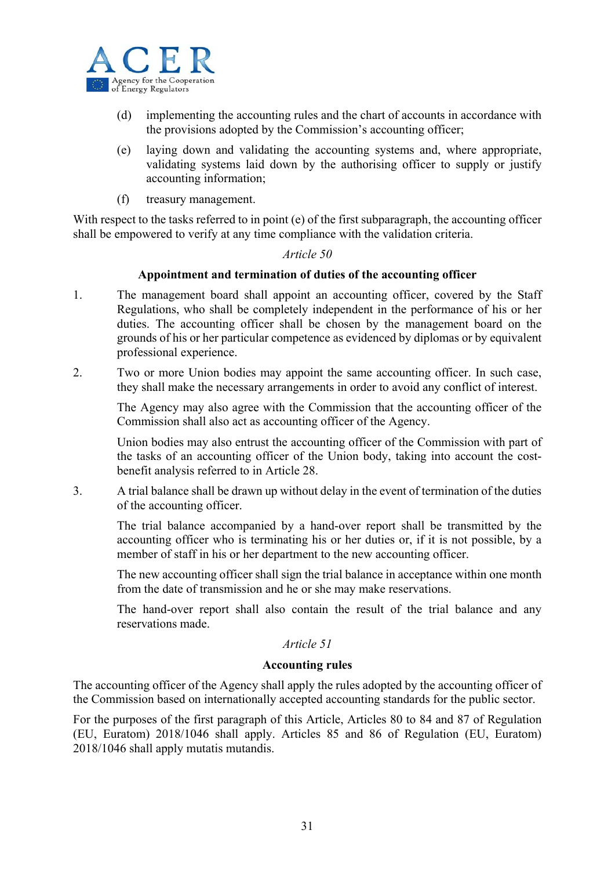

- (d) implementing the accounting rules and the chart of accounts in accordance with the provisions adopted by the Commission's accounting officer;
- (e) laying down and validating the accounting systems and, where appropriate, validating systems laid down by the authorising officer to supply or justify accounting information;
- (f) treasury management.

With respect to the tasks referred to in point (e) of the first subparagraph, the accounting officer shall be empowered to verify at any time compliance with the validation criteria.

#### *Article 50*

#### **Appointment and termination of duties of the accounting officer**

- 1. The management board shall appoint an accounting officer, covered by the Staff Regulations, who shall be completely independent in the performance of his or her duties. The accounting officer shall be chosen by the management board on the grounds of his or her particular competence as evidenced by diplomas or by equivalent professional experience.
- 2. Two or more Union bodies may appoint the same accounting officer. In such case, they shall make the necessary arrangements in order to avoid any conflict of interest.

The Agency may also agree with the Commission that the accounting officer of the Commission shall also act as accounting officer of the Agency.

Union bodies may also entrust the accounting officer of the Commission with part of the tasks of an accounting officer of the Union body, taking into account the costbenefit analysis referred to in Article 28.

3. A trial balance shall be drawn up without delay in the event of termination of the duties of the accounting officer.

The trial balance accompanied by a hand-over report shall be transmitted by the accounting officer who is terminating his or her duties or, if it is not possible, by a member of staff in his or her department to the new accounting officer.

The new accounting officer shall sign the trial balance in acceptance within one month from the date of transmission and he or she may make reservations.

The hand-over report shall also contain the result of the trial balance and any reservations made.

## *Article 51*

#### **Accounting rules**

The accounting officer of the Agency shall apply the rules adopted by the accounting officer of the Commission based on internationally accepted accounting standards for the public sector.

For the purposes of the first paragraph of this Article, Articles 80 to 84 and 87 of Regulation (EU, Euratom) 2018/1046 shall apply. Articles 85 and 86 of Regulation (EU, Euratom) 2018/1046 shall apply mutatis mutandis.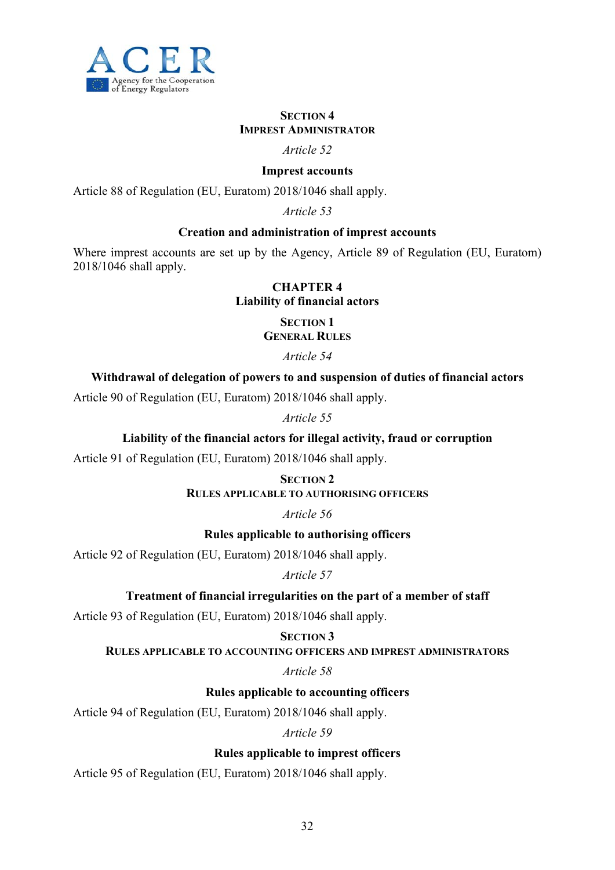

## **SECTION 4 IMPREST ADMINISTRATOR**

## *Article 52*

## **Imprest accounts**

Article 88 of Regulation (EU, Euratom) 2018/1046 shall apply.

*Article 53* 

## **Creation and administration of imprest accounts**

Where imprest accounts are set up by the Agency, Article 89 of Regulation (EU, Euratom) 2018/1046 shall apply.

## **CHAPTER 4**

**Liability of financial actors** 

**SECTION 1 GENERAL RULES**

*Article 54* 

## **Withdrawal of delegation of powers to and suspension of duties of financial actors**

Article 90 of Regulation (EU, Euratom) 2018/1046 shall apply.

*Article 55* 

## **Liability of the financial actors for illegal activity, fraud or corruption**

Article 91 of Regulation (EU, Euratom) 2018/1046 shall apply.

**SECTION 2 RULES APPLICABLE TO AUTHORISING OFFICERS**

*Article 56* 

**Rules applicable to authorising officers** 

Article 92 of Regulation (EU, Euratom) 2018/1046 shall apply.

*Article 57* 

## **Treatment of financial irregularities on the part of a member of staff**

Article 93 of Regulation (EU, Euratom) 2018/1046 shall apply.

## **SECTION 3**

**RULES APPLICABLE TO ACCOUNTING OFFICERS AND IMPREST ADMINISTRATORS**

*Article 58* 

**Rules applicable to accounting officers** 

Article 94 of Regulation (EU, Euratom) 2018/1046 shall apply.

*Article 59* 

**Rules applicable to imprest officers** 

Article 95 of Regulation (EU, Euratom) 2018/1046 shall apply.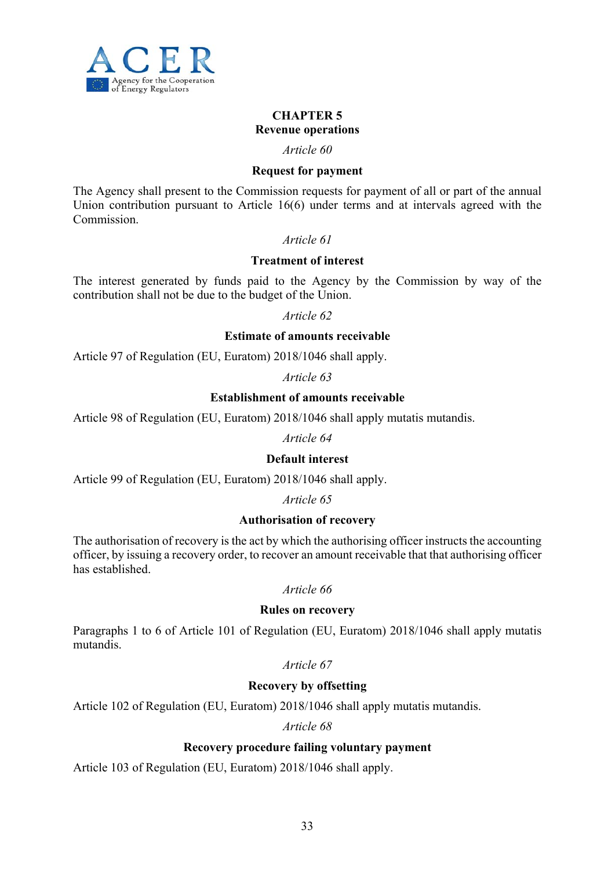

## **CHAPTER 5 Revenue operations**

# *Article 60*

## **Request for payment**

The Agency shall present to the Commission requests for payment of all or part of the annual Union contribution pursuant to Article 16(6) under terms and at intervals agreed with the Commission.

## *Article 61*

## **Treatment of interest**

The interest generated by funds paid to the Agency by the Commission by way of the contribution shall not be due to the budget of the Union.

#### *Article 62*

#### **Estimate of amounts receivable**

Article 97 of Regulation (EU, Euratom) 2018/1046 shall apply.

*Article 63* 

## **Establishment of amounts receivable**

Article 98 of Regulation (EU, Euratom) 2018/1046 shall apply mutatis mutandis.

*Article 64* 

## **Default interest**

Article 99 of Regulation (EU, Euratom) 2018/1046 shall apply.

*Article 65* 

## **Authorisation of recovery**

The authorisation of recovery is the act by which the authorising officer instructs the accounting officer, by issuing a recovery order, to recover an amount receivable that that authorising officer has established.

*Article 66* 

#### **Rules on recovery**

Paragraphs 1 to 6 of Article 101 of Regulation (EU, Euratom) 2018/1046 shall apply mutatis mutandis.

*Article 67* 

## **Recovery by offsetting**

Article 102 of Regulation (EU, Euratom) 2018/1046 shall apply mutatis mutandis.

## *Article 68*

## **Recovery procedure failing voluntary payment**

Article 103 of Regulation (EU, Euratom) 2018/1046 shall apply.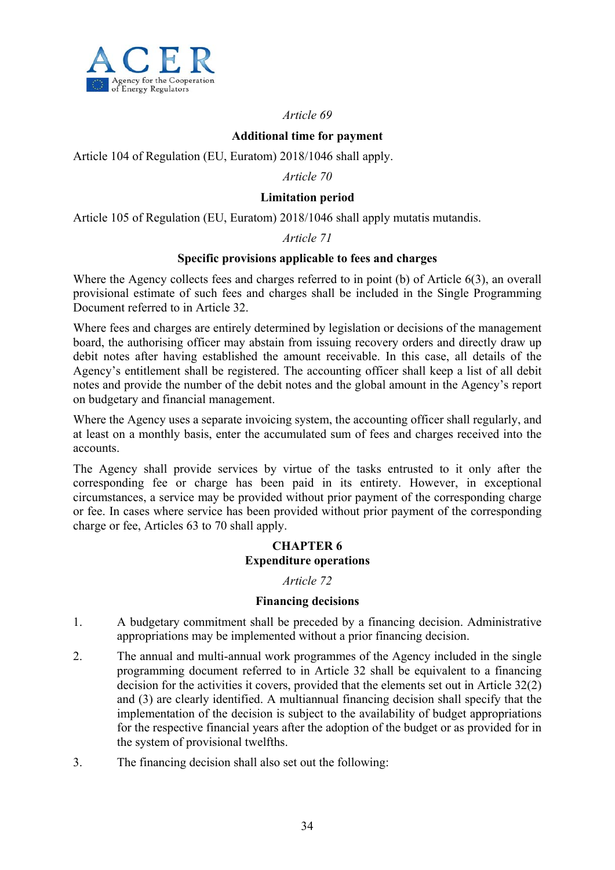

## **Additional time for payment**

Article 104 of Regulation (EU, Euratom) 2018/1046 shall apply.

## *Article 70*

## **Limitation period**

Article 105 of Regulation (EU, Euratom) 2018/1046 shall apply mutatis mutandis.

## *Article 71*

## **Specific provisions applicable to fees and charges**

Where the Agency collects fees and charges referred to in point (b) of Article 6(3), an overall provisional estimate of such fees and charges shall be included in the Single Programming Document referred to in Article 32.

Where fees and charges are entirely determined by legislation or decisions of the management board, the authorising officer may abstain from issuing recovery orders and directly draw up debit notes after having established the amount receivable. In this case, all details of the Agency's entitlement shall be registered. The accounting officer shall keep a list of all debit notes and provide the number of the debit notes and the global amount in the Agency's report on budgetary and financial management.

Where the Agency uses a separate invoicing system, the accounting officer shall regularly, and at least on a monthly basis, enter the accumulated sum of fees and charges received into the accounts.

The Agency shall provide services by virtue of the tasks entrusted to it only after the corresponding fee or charge has been paid in its entirety. However, in exceptional circumstances, a service may be provided without prior payment of the corresponding charge or fee. In cases where service has been provided without prior payment of the corresponding charge or fee, Articles 63 to 70 shall apply.

## **CHAPTER 6 Expenditure operations**

## *Article 72*

## **Financing decisions**

- 1. A budgetary commitment shall be preceded by a financing decision. Administrative appropriations may be implemented without a prior financing decision.
- 2. The annual and multi-annual work programmes of the Agency included in the single programming document referred to in Article 32 shall be equivalent to a financing decision for the activities it covers, provided that the elements set out in Article 32(2) and (3) are clearly identified. A multiannual financing decision shall specify that the implementation of the decision is subject to the availability of budget appropriations for the respective financial years after the adoption of the budget or as provided for in the system of provisional twelfths.
- 3. The financing decision shall also set out the following: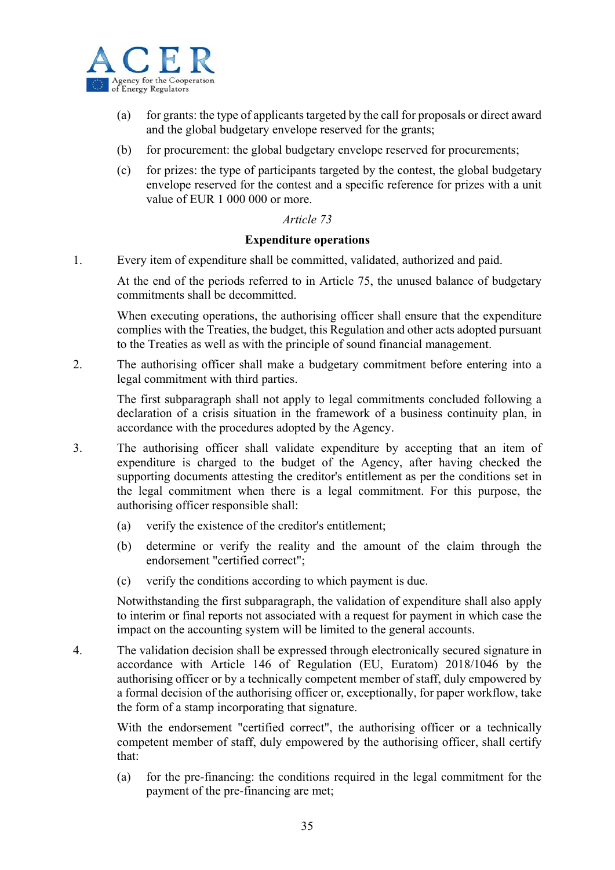

- (a) for grants: the type of applicants targeted by the call for proposals or direct award and the global budgetary envelope reserved for the grants;
- (b) for procurement: the global budgetary envelope reserved for procurements;
- (c) for prizes: the type of participants targeted by the contest, the global budgetary envelope reserved for the contest and a specific reference for prizes with a unit value of EUR 1 000 000 or more.

#### **Expenditure operations**

1. Every item of expenditure shall be committed, validated, authorized and paid.

At the end of the periods referred to in Article 75, the unused balance of budgetary commitments shall be decommitted.

When executing operations, the authorising officer shall ensure that the expenditure complies with the Treaties, the budget, this Regulation and other acts adopted pursuant to the Treaties as well as with the principle of sound financial management.

2. The authorising officer shall make a budgetary commitment before entering into a legal commitment with third parties.

The first subparagraph shall not apply to legal commitments concluded following a declaration of a crisis situation in the framework of a business continuity plan, in accordance with the procedures adopted by the Agency.

- 3. The authorising officer shall validate expenditure by accepting that an item of expenditure is charged to the budget of the Agency, after having checked the supporting documents attesting the creditor's entitlement as per the conditions set in the legal commitment when there is a legal commitment. For this purpose, the authorising officer responsible shall:
	- (a) verify the existence of the creditor's entitlement;
	- (b) determine or verify the reality and the amount of the claim through the endorsement "certified correct";
	- (c) verify the conditions according to which payment is due.

Notwithstanding the first subparagraph, the validation of expenditure shall also apply to interim or final reports not associated with a request for payment in which case the impact on the accounting system will be limited to the general accounts.

4. The validation decision shall be expressed through electronically secured signature in accordance with Article 146 of Regulation (EU, Euratom) 2018/1046 by the authorising officer or by a technically competent member of staff, duly empowered by a formal decision of the authorising officer or, exceptionally, for paper workflow, take the form of a stamp incorporating that signature.

With the endorsement "certified correct", the authorising officer or a technically competent member of staff, duly empowered by the authorising officer, shall certify that:

(a) for the pre-financing: the conditions required in the legal commitment for the payment of the pre-financing are met;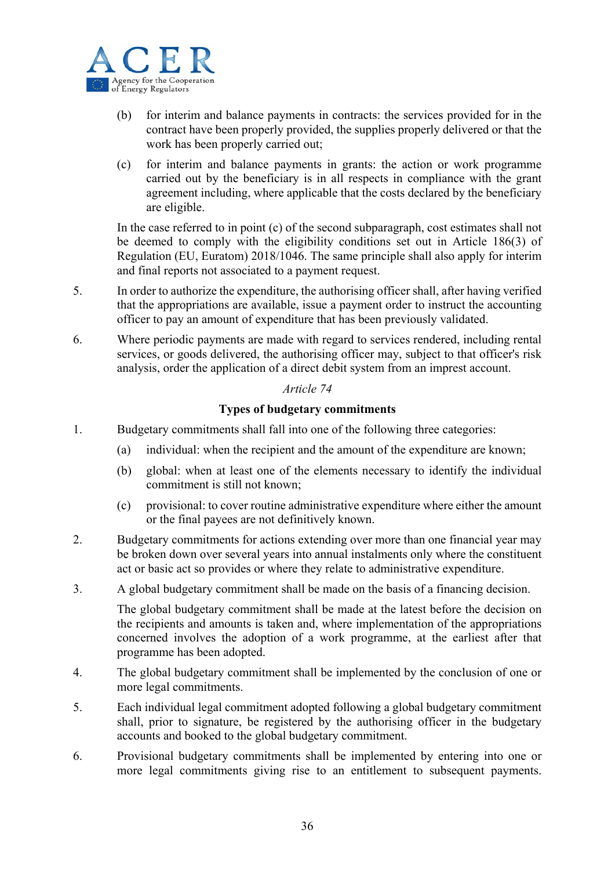

- (b) for interim and balance payments in contracts: the services provided for in the contract have been properly provided, the supplies properly delivered or that the work has been properly carried out;
- (c) for interim and balance payments in grants: the action or work programme carried out by the beneficiary is in all respects in compliance with the grant agreement including, where applicable that the costs declared by the beneficiary are eligible.

In the case referred to in point (c) of the second subparagraph, cost estimates shall not be deemed to comply with the eligibility conditions set out in Article 186(3) of Regulation (EU, Euratom) 2018/1046. The same principle shall also apply for interim and final reports not associated to a payment request.

- 5. In order to authorize the expenditure, the authorising officer shall, after having verified that the appropriations are available, issue a payment order to instruct the accounting officer to pay an amount of expenditure that has been previously validated.
- 6. Where periodic payments are made with regard to services rendered, including rental services, or goods delivered, the authorising officer may, subject to that officer's risk analysis, order the application of a direct debit system from an imprest account.

## *Article 74*

## **Types of budgetary commitments**

- 1. Budgetary commitments shall fall into one of the following three categories:
	- (a) individual: when the recipient and the amount of the expenditure are known;
	- (b) global: when at least one of the elements necessary to identify the individual commitment is still not known;
	- (c) provisional: to cover routine administrative expenditure where either the amount or the final payees are not definitively known.
- 2. Budgetary commitments for actions extending over more than one financial year may be broken down over several years into annual instalments only where the constituent act or basic act so provides or where they relate to administrative expenditure.
- 3. A global budgetary commitment shall be made on the basis of a financing decision.

The global budgetary commitment shall be made at the latest before the decision on the recipients and amounts is taken and, where implementation of the appropriations concerned involves the adoption of a work programme, at the earliest after that programme has been adopted.

- 4. The global budgetary commitment shall be implemented by the conclusion of one or more legal commitments.
- 5. Each individual legal commitment adopted following a global budgetary commitment shall, prior to signature, be registered by the authorising officer in the budgetary accounts and booked to the global budgetary commitment.
- 6. Provisional budgetary commitments shall be implemented by entering into one or more legal commitments giving rise to an entitlement to subsequent payments.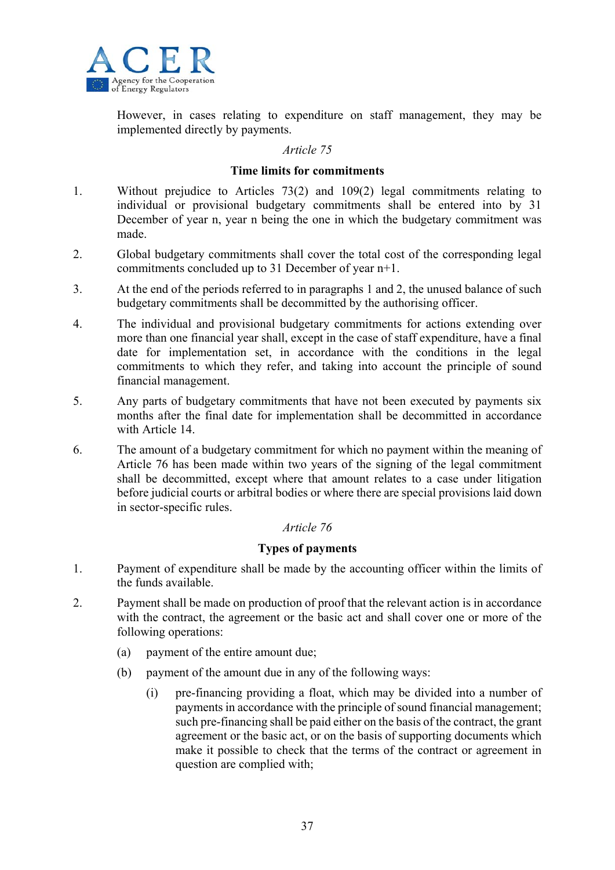

However, in cases relating to expenditure on staff management, they may be implemented directly by payments.

## *Article 75*

#### **Time limits for commitments**

- 1. Without prejudice to Articles 73(2) and 109(2) legal commitments relating to individual or provisional budgetary commitments shall be entered into by 31 December of year n, year n being the one in which the budgetary commitment was made.
- 2. Global budgetary commitments shall cover the total cost of the corresponding legal commitments concluded up to 31 December of year n+1.
- 3. At the end of the periods referred to in paragraphs 1 and 2, the unused balance of such budgetary commitments shall be decommitted by the authorising officer.
- 4. The individual and provisional budgetary commitments for actions extending over more than one financial year shall, except in the case of staff expenditure, have a final date for implementation set, in accordance with the conditions in the legal commitments to which they refer, and taking into account the principle of sound financial management.
- 5. Any parts of budgetary commitments that have not been executed by payments six months after the final date for implementation shall be decommitted in accordance with Article 14.
- 6. The amount of a budgetary commitment for which no payment within the meaning of Article 76 has been made within two years of the signing of the legal commitment shall be decommitted, except where that amount relates to a case under litigation before judicial courts or arbitral bodies or where there are special provisions laid down in sector-specific rules.

## *Article 76*

## **Types of payments**

- 1. Payment of expenditure shall be made by the accounting officer within the limits of the funds available.
- 2. Payment shall be made on production of proof that the relevant action is in accordance with the contract, the agreement or the basic act and shall cover one or more of the following operations:
	- (a) payment of the entire amount due;
	- (b) payment of the amount due in any of the following ways:
		- (i) pre-financing providing a float, which may be divided into a number of payments in accordance with the principle of sound financial management; such pre-financing shall be paid either on the basis of the contract, the grant agreement or the basic act, or on the basis of supporting documents which make it possible to check that the terms of the contract or agreement in question are complied with;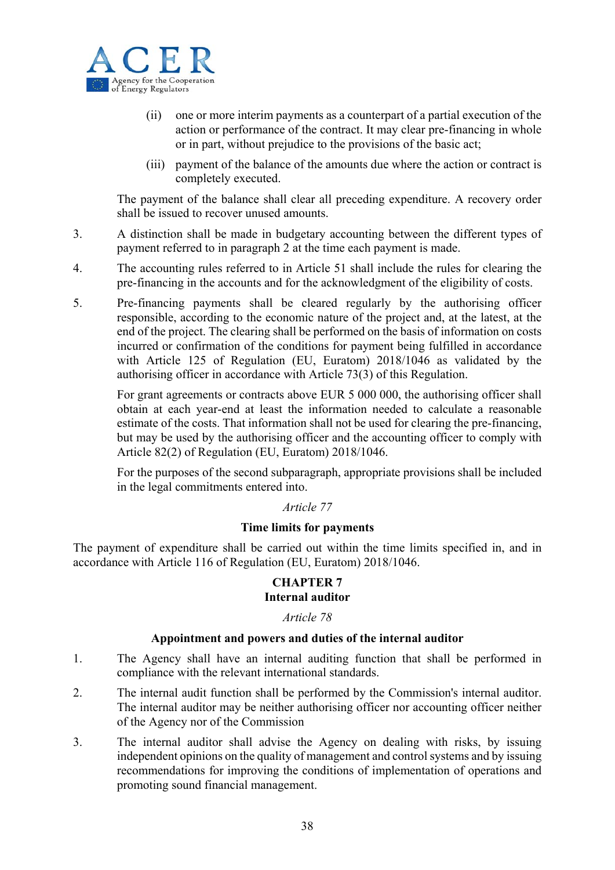

- (ii) one or more interim payments as a counterpart of a partial execution of the action or performance of the contract. It may clear pre-financing in whole or in part, without prejudice to the provisions of the basic act;
- (iii) payment of the balance of the amounts due where the action or contract is completely executed.

The payment of the balance shall clear all preceding expenditure. A recovery order shall be issued to recover unused amounts.

- 3. A distinction shall be made in budgetary accounting between the different types of payment referred to in paragraph 2 at the time each payment is made.
- 4. The accounting rules referred to in Article 51 shall include the rules for clearing the pre-financing in the accounts and for the acknowledgment of the eligibility of costs.
- 5. Pre-financing payments shall be cleared regularly by the authorising officer responsible, according to the economic nature of the project and, at the latest, at the end of the project. The clearing shall be performed on the basis of information on costs incurred or confirmation of the conditions for payment being fulfilled in accordance with Article 125 of Regulation (EU, Euratom) 2018/1046 as validated by the authorising officer in accordance with Article 73(3) of this Regulation.

For grant agreements or contracts above EUR 5 000 000, the authorising officer shall obtain at each year-end at least the information needed to calculate a reasonable estimate of the costs. That information shall not be used for clearing the pre-financing, but may be used by the authorising officer and the accounting officer to comply with Article 82(2) of Regulation (EU, Euratom) 2018/1046.

For the purposes of the second subparagraph, appropriate provisions shall be included in the legal commitments entered into.

## *Article 77*

## **Time limits for payments**

The payment of expenditure shall be carried out within the time limits specified in, and in accordance with Article 116 of Regulation (EU, Euratom) 2018/1046.

## **CHAPTER 7 Internal auditor**

## *Article 78*

## **Appointment and powers and duties of the internal auditor**

- 1. The Agency shall have an internal auditing function that shall be performed in compliance with the relevant international standards.
- 2. The internal audit function shall be performed by the Commission's internal auditor. The internal auditor may be neither authorising officer nor accounting officer neither of the Agency nor of the Commission
- 3. The internal auditor shall advise the Agency on dealing with risks, by issuing independent opinions on the quality of management and control systems and by issuing recommendations for improving the conditions of implementation of operations and promoting sound financial management.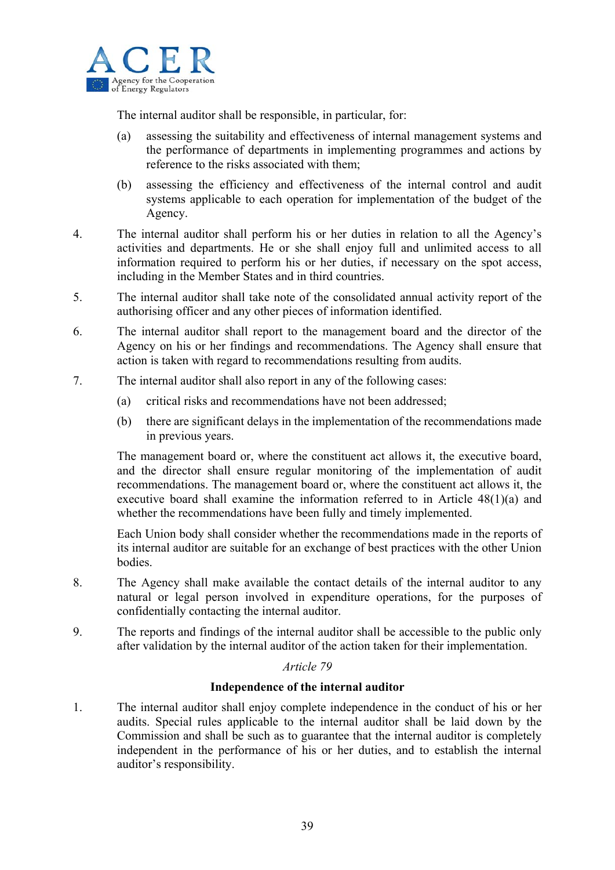

The internal auditor shall be responsible, in particular, for:

- (a) assessing the suitability and effectiveness of internal management systems and the performance of departments in implementing programmes and actions by reference to the risks associated with them;
- (b) assessing the efficiency and effectiveness of the internal control and audit systems applicable to each operation for implementation of the budget of the Agency.
- 4. The internal auditor shall perform his or her duties in relation to all the Agency's activities and departments. He or she shall enjoy full and unlimited access to all information required to perform his or her duties, if necessary on the spot access, including in the Member States and in third countries.
- 5. The internal auditor shall take note of the consolidated annual activity report of the authorising officer and any other pieces of information identified.
- 6. The internal auditor shall report to the management board and the director of the Agency on his or her findings and recommendations. The Agency shall ensure that action is taken with regard to recommendations resulting from audits.
- 7. The internal auditor shall also report in any of the following cases:
	- (a) critical risks and recommendations have not been addressed;
	- (b) there are significant delays in the implementation of the recommendations made in previous years.

The management board or, where the constituent act allows it, the executive board, and the director shall ensure regular monitoring of the implementation of audit recommendations. The management board or, where the constituent act allows it, the executive board shall examine the information referred to in Article 48(1)(a) and whether the recommendations have been fully and timely implemented.

Each Union body shall consider whether the recommendations made in the reports of its internal auditor are suitable for an exchange of best practices with the other Union bodies.

- 8. The Agency shall make available the contact details of the internal auditor to any natural or legal person involved in expenditure operations, for the purposes of confidentially contacting the internal auditor.
- 9. The reports and findings of the internal auditor shall be accessible to the public only after validation by the internal auditor of the action taken for their implementation.

## *Article 79*

## **Independence of the internal auditor**

1. The internal auditor shall enjoy complete independence in the conduct of his or her audits. Special rules applicable to the internal auditor shall be laid down by the Commission and shall be such as to guarantee that the internal auditor is completely independent in the performance of his or her duties, and to establish the internal auditor's responsibility.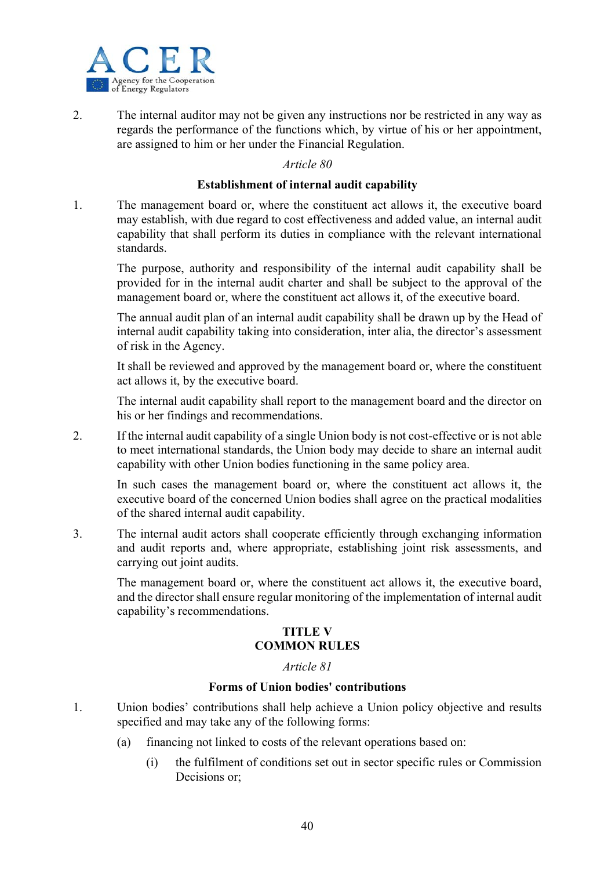

2. The internal auditor may not be given any instructions nor be restricted in any way as regards the performance of the functions which, by virtue of his or her appointment, are assigned to him or her under the Financial Regulation.

## *Article 80*

#### **Establishment of internal audit capability**

1. The management board or, where the constituent act allows it, the executive board may establish, with due regard to cost effectiveness and added value, an internal audit capability that shall perform its duties in compliance with the relevant international standards.

The purpose, authority and responsibility of the internal audit capability shall be provided for in the internal audit charter and shall be subject to the approval of the management board or, where the constituent act allows it, of the executive board.

The annual audit plan of an internal audit capability shall be drawn up by the Head of internal audit capability taking into consideration, inter alia, the director's assessment of risk in the Agency.

It shall be reviewed and approved by the management board or, where the constituent act allows it, by the executive board.

The internal audit capability shall report to the management board and the director on his or her findings and recommendations.

2. If the internal audit capability of a single Union body is not cost-effective or is not able to meet international standards, the Union body may decide to share an internal audit capability with other Union bodies functioning in the same policy area.

In such cases the management board or, where the constituent act allows it, the executive board of the concerned Union bodies shall agree on the practical modalities of the shared internal audit capability.

3. The internal audit actors shall cooperate efficiently through exchanging information and audit reports and, where appropriate, establishing joint risk assessments, and carrying out joint audits.

The management board or, where the constituent act allows it, the executive board, and the director shall ensure regular monitoring of the implementation of internal audit capability's recommendations.

## **TITLE V COMMON RULES**

#### *Article 81*

## **Forms of Union bodies' contributions**

- 1. Union bodies' contributions shall help achieve a Union policy objective and results specified and may take any of the following forms:
	- (a) financing not linked to costs of the relevant operations based on:
		- (i) the fulfilment of conditions set out in sector specific rules or Commission Decisions or;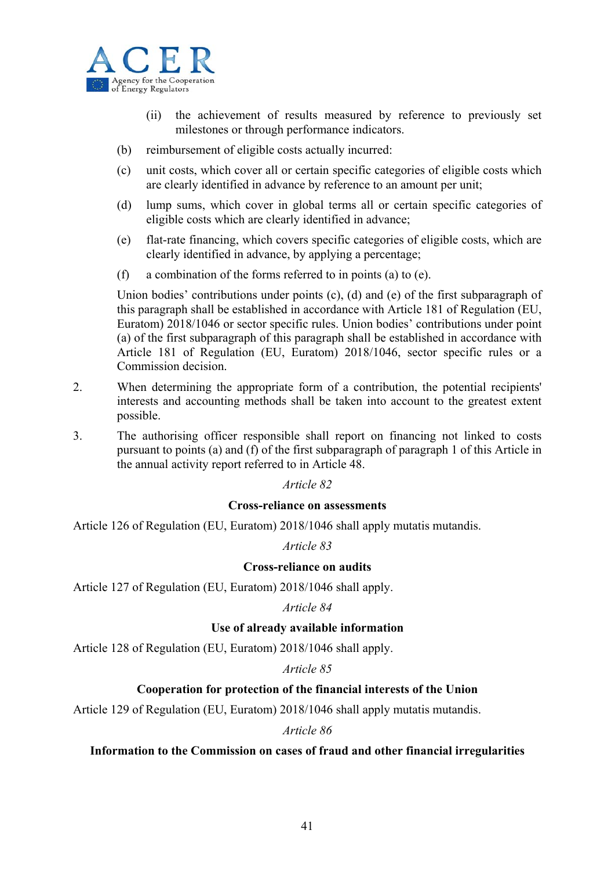

- (ii) the achievement of results measured by reference to previously set milestones or through performance indicators.
- (b) reimbursement of eligible costs actually incurred:
- (c) unit costs, which cover all or certain specific categories of eligible costs which are clearly identified in advance by reference to an amount per unit;
- (d) lump sums, which cover in global terms all or certain specific categories of eligible costs which are clearly identified in advance;
- (e) flat-rate financing, which covers specific categories of eligible costs, which are clearly identified in advance, by applying a percentage;
- (f) a combination of the forms referred to in points (a) to (e).

Union bodies' contributions under points (c), (d) and (e) of the first subparagraph of this paragraph shall be established in accordance with Article 181 of Regulation (EU, Euratom) 2018/1046 or sector specific rules. Union bodies' contributions under point (a) of the first subparagraph of this paragraph shall be established in accordance with Article 181 of Regulation (EU, Euratom) 2018/1046, sector specific rules or a Commission decision.

- 2. When determining the appropriate form of a contribution, the potential recipients' interests and accounting methods shall be taken into account to the greatest extent possible.
- 3. The authorising officer responsible shall report on financing not linked to costs pursuant to points (a) and (f) of the first subparagraph of paragraph 1 of this Article in the annual activity report referred to in Article 48.

## *Article 82*

## **Cross-reliance on assessments**

Article 126 of Regulation (EU, Euratom) 2018/1046 shall apply mutatis mutandis.

*Article 83* 

## **Cross-reliance on audits**

Article 127 of Regulation (EU, Euratom) 2018/1046 shall apply.

*Article 84* 

## **Use of already available information**

Article 128 of Regulation (EU, Euratom) 2018/1046 shall apply.

*Article 85* 

## **Cooperation for protection of the financial interests of the Union**

Article 129 of Regulation (EU, Euratom) 2018/1046 shall apply mutatis mutandis.

*Article 86* 

#### **Information to the Commission on cases of fraud and other financial irregularities**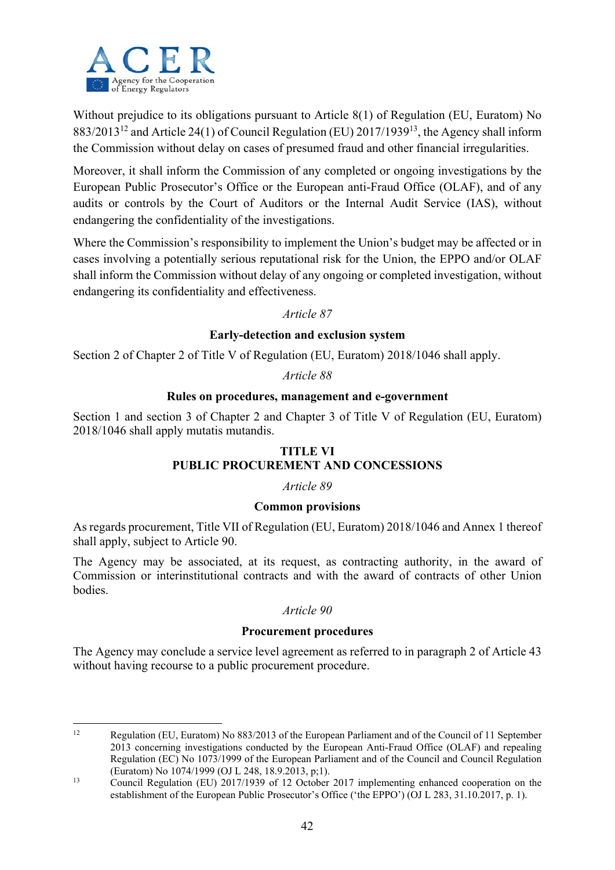

Without prejudice to its obligations pursuant to Article 8(1) of Regulation (EU, Euratom) No  $883/2013^{12}$  and Article 24(1) of Council Regulation (EU) 2017/1939<sup>13</sup>, the Agency shall inform the Commission without delay on cases of presumed fraud and other financial irregularities.

Moreover, it shall inform the Commission of any completed or ongoing investigations by the European Public Prosecutor's Office or the European anti-Fraud Office (OLAF), and of any audits or controls by the Court of Auditors or the Internal Audit Service (IAS), without endangering the confidentiality of the investigations.

Where the Commission's responsibility to implement the Union's budget may be affected or in cases involving a potentially serious reputational risk for the Union, the EPPO and/or OLAF shall inform the Commission without delay of any ongoing or completed investigation, without endangering its confidentiality and effectiveness.

## *Article 87*

## **Early-detection and exclusion system**

Section 2 of Chapter 2 of Title V of Regulation (EU, Euratom) 2018/1046 shall apply.

## *Article 88*

## **Rules on procedures, management and e-government**

Section 1 and section 3 of Chapter 2 and Chapter 3 of Title V of Regulation (EU, Euratom) 2018/1046 shall apply mutatis mutandis.

## **TITLE VI PUBLIC PROCUREMENT AND CONCESSIONS**

## *Article 89*

## **Common provisions**

As regards procurement, Title VII of Regulation (EU, Euratom) 2018/1046 and Annex 1 thereof shall apply, subject to Article 90.

The Agency may be associated, at its request, as contracting authority, in the award of Commission or interinstitutional contracts and with the award of contracts of other Union bodies.

## *Article 90*

## **Procurement procedures**

The Agency may conclude a service level agreement as referred to in paragraph 2 of Article 43 without having recourse to a public procurement procedure.

 $12<sup>12</sup>$ 12 Regulation (EU, Euratom) No 883/2013 of the European Parliament and of the Council of 11 September 2013 concerning investigations conducted by the European Anti-Fraud Office (OLAF) and repealing Regulation (EC) No 1073/1999 of the European Parliament and of the Council and Council Regulation (Euratom) No 1074/1999 (OJ L 248, 18.9.2013, p;1).

<sup>&</sup>lt;sup>13</sup> Council Regulation (EU) 2017/1939 of 12 October 2017 implementing enhanced cooperation on the establishment of the European Public Prosecutor's Office ('the EPPO') (OJ L 283, 31.10.2017, p. 1).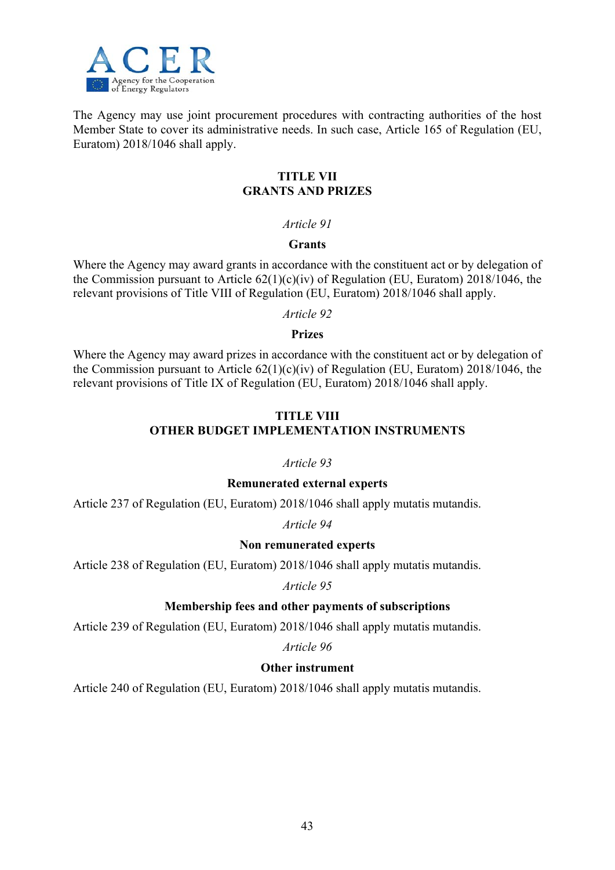

The Agency may use joint procurement procedures with contracting authorities of the host Member State to cover its administrative needs. In such case, Article 165 of Regulation (EU, Euratom) 2018/1046 shall apply.

## **TITLE VII GRANTS AND PRIZES**

## *Article 91*

## **Grants**

Where the Agency may award grants in accordance with the constituent act or by delegation of the Commission pursuant to Article  $62(1)(c)(iv)$  of Regulation (EU, Euratom) 2018/1046, the relevant provisions of Title VIII of Regulation (EU, Euratom) 2018/1046 shall apply.

*Article 92* 

## **Prizes**

Where the Agency may award prizes in accordance with the constituent act or by delegation of the Commission pursuant to Article  $62(1)(c)(iv)$  of Regulation (EU, Euratom) 2018/1046, the relevant provisions of Title IX of Regulation (EU, Euratom) 2018/1046 shall apply.

## **TITLE VIII OTHER BUDGET IMPLEMENTATION INSTRUMENTS**

## *Article 93*

## **Remunerated external experts**

Article 237 of Regulation (EU, Euratom) 2018/1046 shall apply mutatis mutandis.

*Article 94* 

## **Non remunerated experts**

Article 238 of Regulation (EU, Euratom) 2018/1046 shall apply mutatis mutandis.

*Article 95* 

## **Membership fees and other payments of subscriptions**

Article 239 of Regulation (EU, Euratom) 2018/1046 shall apply mutatis mutandis.

*Article 96* 

## **Other instrument**

Article 240 of Regulation (EU, Euratom) 2018/1046 shall apply mutatis mutandis.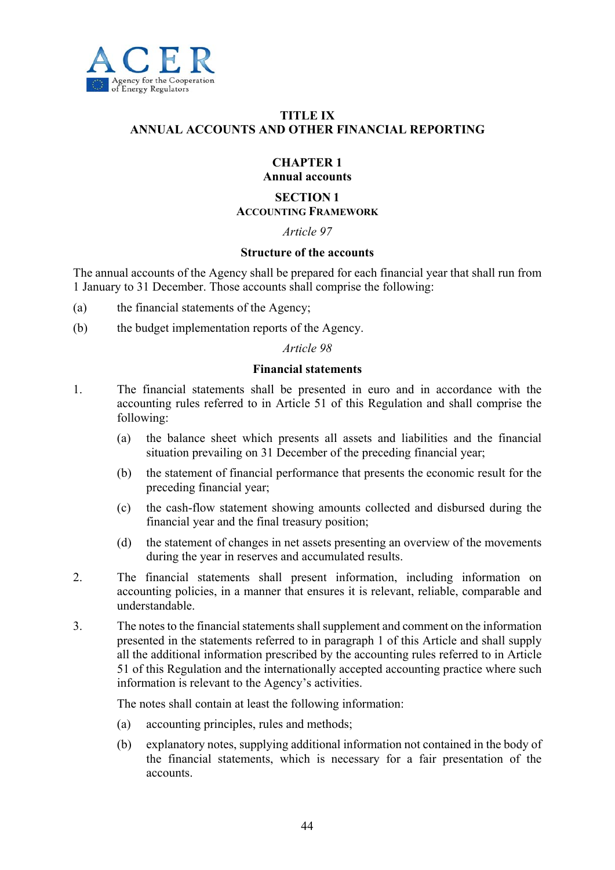

## **TITLE IX ANNUAL ACCOUNTS AND OTHER FINANCIAL REPORTING**

#### **CHAPTER 1 Annual accounts**

#### **SECTION 1 ACCOUNTING FRAMEWORK**

## *Article 97*

#### **Structure of the accounts**

The annual accounts of the Agency shall be prepared for each financial year that shall run from 1 January to 31 December. Those accounts shall comprise the following:

- (a) the financial statements of the Agency;
- (b) the budget implementation reports of the Agency.

#### *Article 98*

#### **Financial statements**

- 1. The financial statements shall be presented in euro and in accordance with the accounting rules referred to in Article 51 of this Regulation and shall comprise the following:
	- (a) the balance sheet which presents all assets and liabilities and the financial situation prevailing on 31 December of the preceding financial year;
	- (b) the statement of financial performance that presents the economic result for the preceding financial year;
	- (c) the cash-flow statement showing amounts collected and disbursed during the financial year and the final treasury position;
	- (d) the statement of changes in net assets presenting an overview of the movements during the year in reserves and accumulated results.
- 2. The financial statements shall present information, including information on accounting policies, in a manner that ensures it is relevant, reliable, comparable and understandable.
- 3. The notes to the financial statements shall supplement and comment on the information presented in the statements referred to in paragraph 1 of this Article and shall supply all the additional information prescribed by the accounting rules referred to in Article 51 of this Regulation and the internationally accepted accounting practice where such information is relevant to the Agency's activities.

The notes shall contain at least the following information:

- (a) accounting principles, rules and methods;
- (b) explanatory notes, supplying additional information not contained in the body of the financial statements, which is necessary for a fair presentation of the accounts.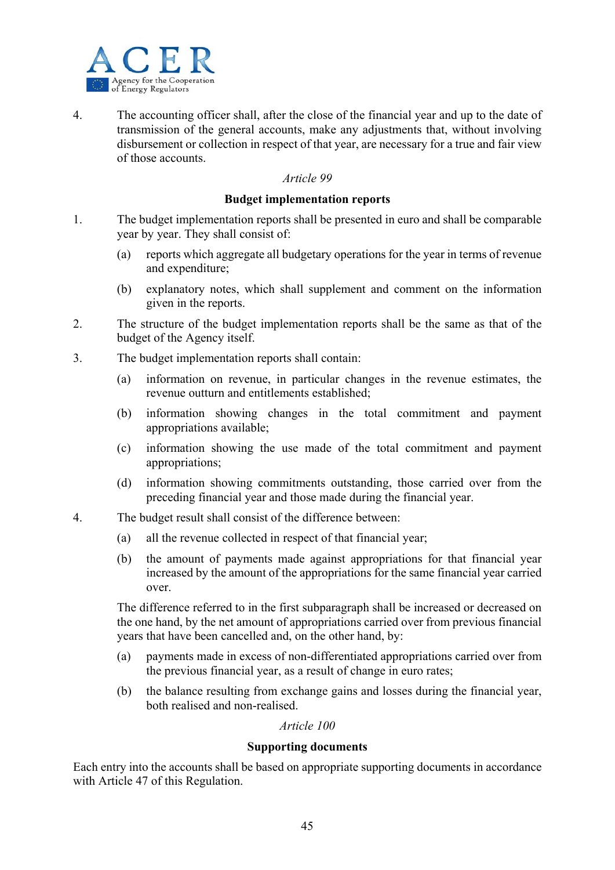

4. The accounting officer shall, after the close of the financial year and up to the date of transmission of the general accounts, make any adjustments that, without involving disbursement or collection in respect of that year, are necessary for a true and fair view of those accounts.

#### *Article 99*

#### **Budget implementation reports**

- 1. The budget implementation reports shall be presented in euro and shall be comparable year by year. They shall consist of:
	- (a) reports which aggregate all budgetary operations for the year in terms of revenue and expenditure;
	- (b) explanatory notes, which shall supplement and comment on the information given in the reports.
- 2. The structure of the budget implementation reports shall be the same as that of the budget of the Agency itself.
- 3. The budget implementation reports shall contain:
	- (a) information on revenue, in particular changes in the revenue estimates, the revenue outturn and entitlements established;
	- (b) information showing changes in the total commitment and payment appropriations available;
	- (c) information showing the use made of the total commitment and payment appropriations;
	- (d) information showing commitments outstanding, those carried over from the preceding financial year and those made during the financial year.
- 4. The budget result shall consist of the difference between:
	- (a) all the revenue collected in respect of that financial year;
	- (b) the amount of payments made against appropriations for that financial year increased by the amount of the appropriations for the same financial year carried over.

The difference referred to in the first subparagraph shall be increased or decreased on the one hand, by the net amount of appropriations carried over from previous financial years that have been cancelled and, on the other hand, by:

- (a) payments made in excess of non-differentiated appropriations carried over from the previous financial year, as a result of change in euro rates;
- (b) the balance resulting from exchange gains and losses during the financial year, both realised and non-realised.

## *Article 100*

## **Supporting documents**

Each entry into the accounts shall be based on appropriate supporting documents in accordance with Article 47 of this Regulation.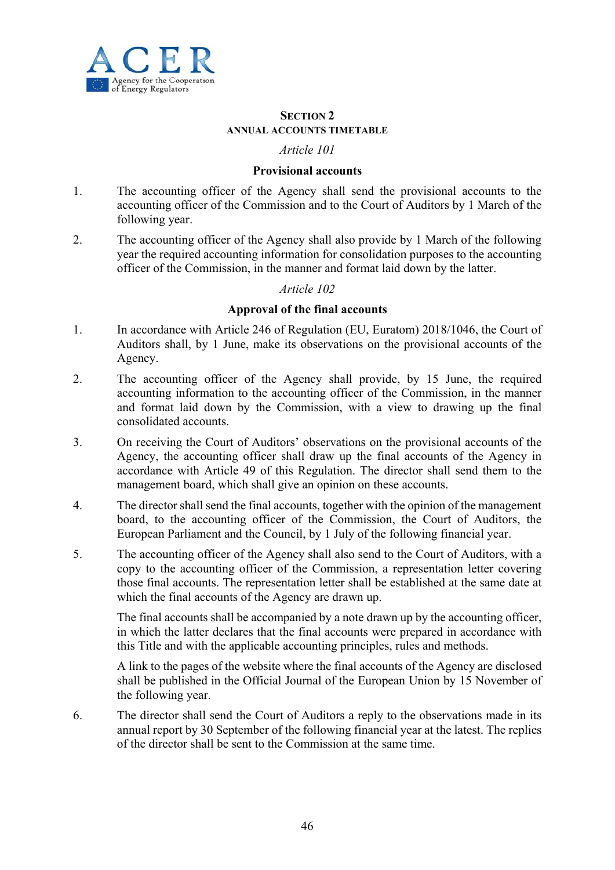

#### **SECTION 2 ANNUAL ACCOUNTS TIMETABLE**

## *Article 101*

## **Provisional accounts**

- 1. The accounting officer of the Agency shall send the provisional accounts to the accounting officer of the Commission and to the Court of Auditors by 1 March of the following year.
- 2. The accounting officer of the Agency shall also provide by 1 March of the following year the required accounting information for consolidation purposes to the accounting officer of the Commission, in the manner and format laid down by the latter.

## *Article 102*

## **Approval of the final accounts**

- 1. In accordance with Article 246 of Regulation (EU, Euratom) 2018/1046, the Court of Auditors shall, by 1 June, make its observations on the provisional accounts of the Agency.
- 2. The accounting officer of the Agency shall provide, by 15 June, the required accounting information to the accounting officer of the Commission, in the manner and format laid down by the Commission, with a view to drawing up the final consolidated accounts.
- 3. On receiving the Court of Auditors' observations on the provisional accounts of the Agency, the accounting officer shall draw up the final accounts of the Agency in accordance with Article 49 of this Regulation. The director shall send them to the management board, which shall give an opinion on these accounts.
- 4. The director shall send the final accounts, together with the opinion of the management board, to the accounting officer of the Commission, the Court of Auditors, the European Parliament and the Council, by 1 July of the following financial year.
- 5. The accounting officer of the Agency shall also send to the Court of Auditors, with a copy to the accounting officer of the Commission, a representation letter covering those final accounts. The representation letter shall be established at the same date at which the final accounts of the Agency are drawn up.

The final accounts shall be accompanied by a note drawn up by the accounting officer, in which the latter declares that the final accounts were prepared in accordance with this Title and with the applicable accounting principles, rules and methods.

A link to the pages of the website where the final accounts of the Agency are disclosed shall be published in the Official Journal of the European Union by 15 November of the following year.

6. The director shall send the Court of Auditors a reply to the observations made in its annual report by 30 September of the following financial year at the latest. The replies of the director shall be sent to the Commission at the same time.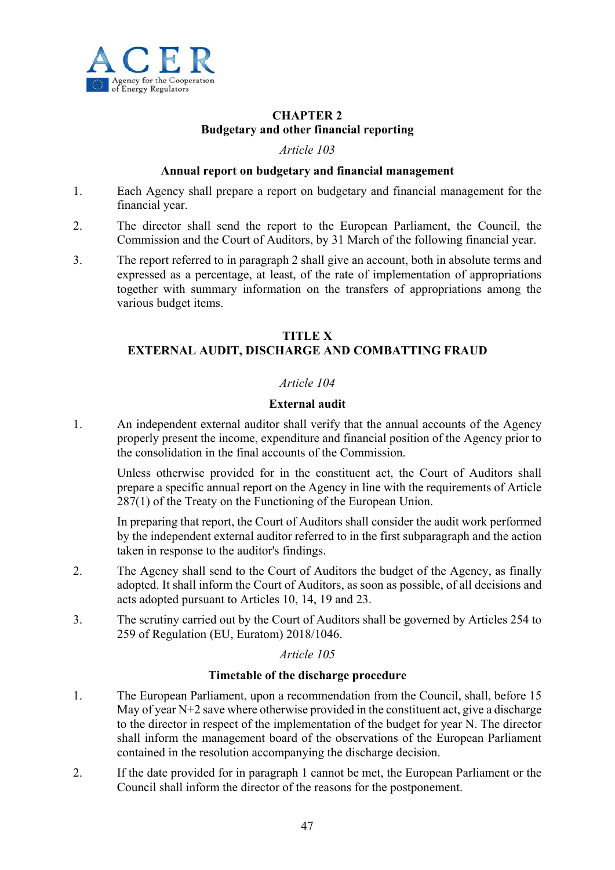

## **CHAPTER 2 Budgetary and other financial reporting**

#### *Article 103*

## **Annual report on budgetary and financial management**

- 1. Each Agency shall prepare a report on budgetary and financial management for the financial year.
- 2. The director shall send the report to the European Parliament, the Council, the Commission and the Court of Auditors, by 31 March of the following financial year.
- 3. The report referred to in paragraph 2 shall give an account, both in absolute terms and expressed as a percentage, at least, of the rate of implementation of appropriations together with summary information on the transfers of appropriations among the various budget items.

## **TITLE X EXTERNAL AUDIT, DISCHARGE AND COMBATTING FRAUD**

## *Article 104*

## **External audit**

1. An independent external auditor shall verify that the annual accounts of the Agency properly present the income, expenditure and financial position of the Agency prior to the consolidation in the final accounts of the Commission.

Unless otherwise provided for in the constituent act, the Court of Auditors shall prepare a specific annual report on the Agency in line with the requirements of Article 287(1) of the Treaty on the Functioning of the European Union.

In preparing that report, the Court of Auditors shall consider the audit work performed by the independent external auditor referred to in the first subparagraph and the action taken in response to the auditor's findings.

- 2. The Agency shall send to the Court of Auditors the budget of the Agency, as finally adopted. It shall inform the Court of Auditors, as soon as possible, of all decisions and acts adopted pursuant to Articles 10, 14, 19 and 23.
- 3. The scrutiny carried out by the Court of Auditors shall be governed by Articles 254 to 259 of Regulation (EU, Euratom) 2018/1046.

## *Article 105*

## **Timetable of the discharge procedure**

- 1. The European Parliament, upon a recommendation from the Council, shall, before 15 May of year N+2 save where otherwise provided in the constituent act, give a discharge to the director in respect of the implementation of the budget for year N. The director shall inform the management board of the observations of the European Parliament contained in the resolution accompanying the discharge decision.
- 2. If the date provided for in paragraph 1 cannot be met, the European Parliament or the Council shall inform the director of the reasons for the postponement.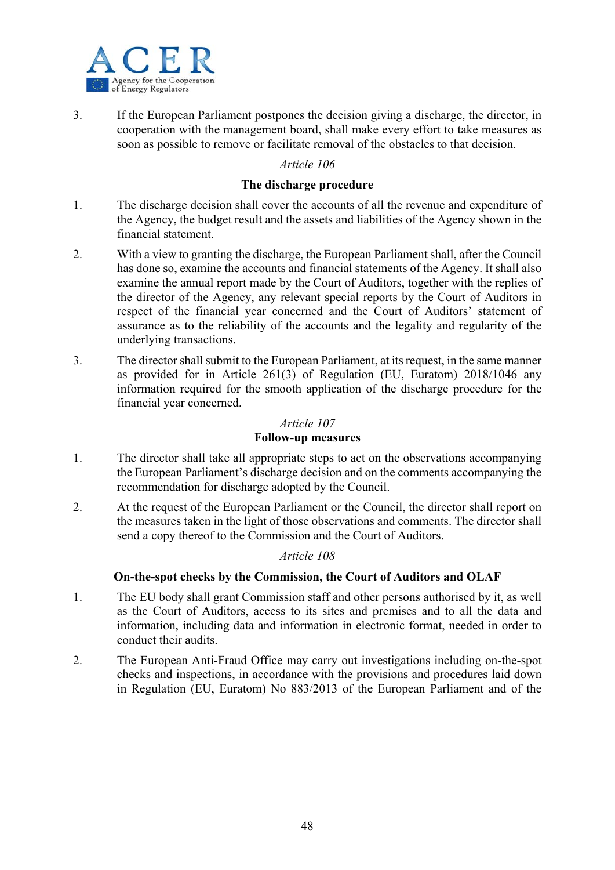

3. If the European Parliament postpones the decision giving a discharge, the director, in cooperation with the management board, shall make every effort to take measures as soon as possible to remove or facilitate removal of the obstacles to that decision.

## *Article 106*

## **The discharge procedure**

- 1. The discharge decision shall cover the accounts of all the revenue and expenditure of the Agency, the budget result and the assets and liabilities of the Agency shown in the financial statement.
- 2. With a view to granting the discharge, the European Parliament shall, after the Council has done so, examine the accounts and financial statements of the Agency. It shall also examine the annual report made by the Court of Auditors, together with the replies of the director of the Agency, any relevant special reports by the Court of Auditors in respect of the financial year concerned and the Court of Auditors' statement of assurance as to the reliability of the accounts and the legality and regularity of the underlying transactions.
- 3. The director shall submit to the European Parliament, at its request, in the same manner as provided for in Article 261(3) of Regulation (EU, Euratom) 2018/1046 any information required for the smooth application of the discharge procedure for the financial year concerned.

## *Article 107*

## **Follow-up measures**

- 1. The director shall take all appropriate steps to act on the observations accompanying the European Parliament's discharge decision and on the comments accompanying the recommendation for discharge adopted by the Council.
- 2. At the request of the European Parliament or the Council, the director shall report on the measures taken in the light of those observations and comments. The director shall send a copy thereof to the Commission and the Court of Auditors.

## *Article 108*

## **On-the-spot checks by the Commission, the Court of Auditors and OLAF**

- 1. The EU body shall grant Commission staff and other persons authorised by it, as well as the Court of Auditors, access to its sites and premises and to all the data and information, including data and information in electronic format, needed in order to conduct their audits.
- 2. The European Anti-Fraud Office may carry out investigations including on-the-spot checks and inspections, in accordance with the provisions and procedures laid down in Regulation (EU, Euratom) No 883/2013 of the European Parliament and of the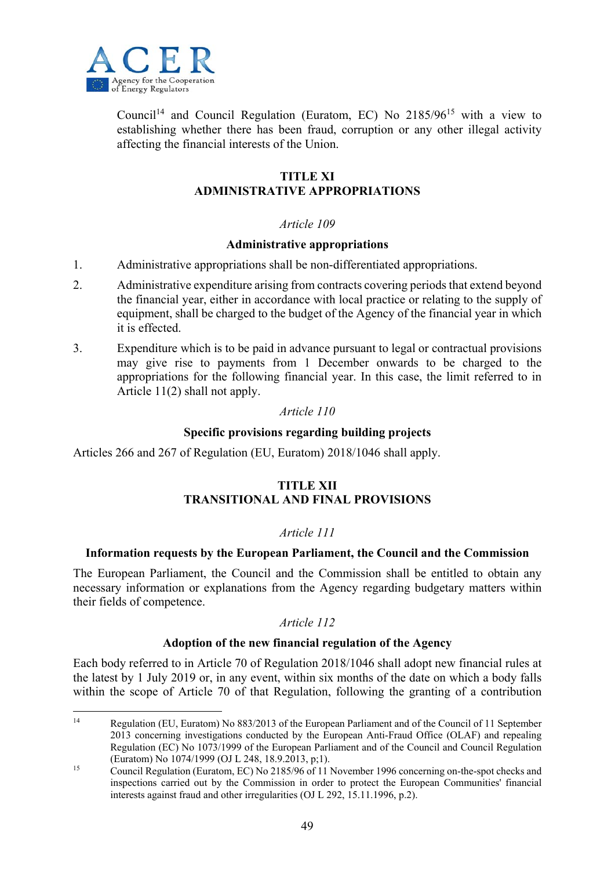

1

Council<sup>14</sup> and Council Regulation (Euratom, EC) No  $2185/96^{15}$  with a view to establishing whether there has been fraud, corruption or any other illegal activity affecting the financial interests of the Union.

## **TITLE XI ADMINISTRATIVE APPROPRIATIONS**

## *Article 109*

## **Administrative appropriations**

- 1. Administrative appropriations shall be non-differentiated appropriations.
- 2. Administrative expenditure arising from contracts covering periods that extend beyond the financial year, either in accordance with local practice or relating to the supply of equipment, shall be charged to the budget of the Agency of the financial year in which it is effected.
- 3. Expenditure which is to be paid in advance pursuant to legal or contractual provisions may give rise to payments from 1 December onwards to be charged to the appropriations for the following financial year. In this case, the limit referred to in Article 11(2) shall not apply.

## *Article 110*

#### **Specific provisions regarding building projects**

Articles 266 and 267 of Regulation (EU, Euratom) 2018/1046 shall apply.

## **TITLE XII TRANSITIONAL AND FINAL PROVISIONS**

## *Article 111*

#### **Information requests by the European Parliament, the Council and the Commission**

The European Parliament, the Council and the Commission shall be entitled to obtain any necessary information or explanations from the Agency regarding budgetary matters within their fields of competence.

#### *Article 112*

#### **Adoption of the new financial regulation of the Agency**

Each body referred to in Article 70 of Regulation 2018/1046 shall adopt new financial rules at the latest by 1 July 2019 or, in any event, within six months of the date on which a body falls within the scope of Article 70 of that Regulation, following the granting of a contribution

<sup>14</sup> Regulation (EU, Euratom) No 883/2013 of the European Parliament and of the Council of 11 September 2013 concerning investigations conducted by the European Anti-Fraud Office (OLAF) and repealing Regulation (EC) No 1073/1999 of the European Parliament and of the Council and Council Regulation (Euratom) No 1074/1999 (OJ L 248, 18.9.2013, p;1).

<sup>&</sup>lt;sup>15</sup> Council Regulation (Euratom, EC) No 2185/96 of 11 November 1996 concerning on-the-spot checks and inspections carried out by the Commission in order to protect the European Communities' financial interests against fraud and other irregularities (OJ L 292, 15.11.1996, p.2).